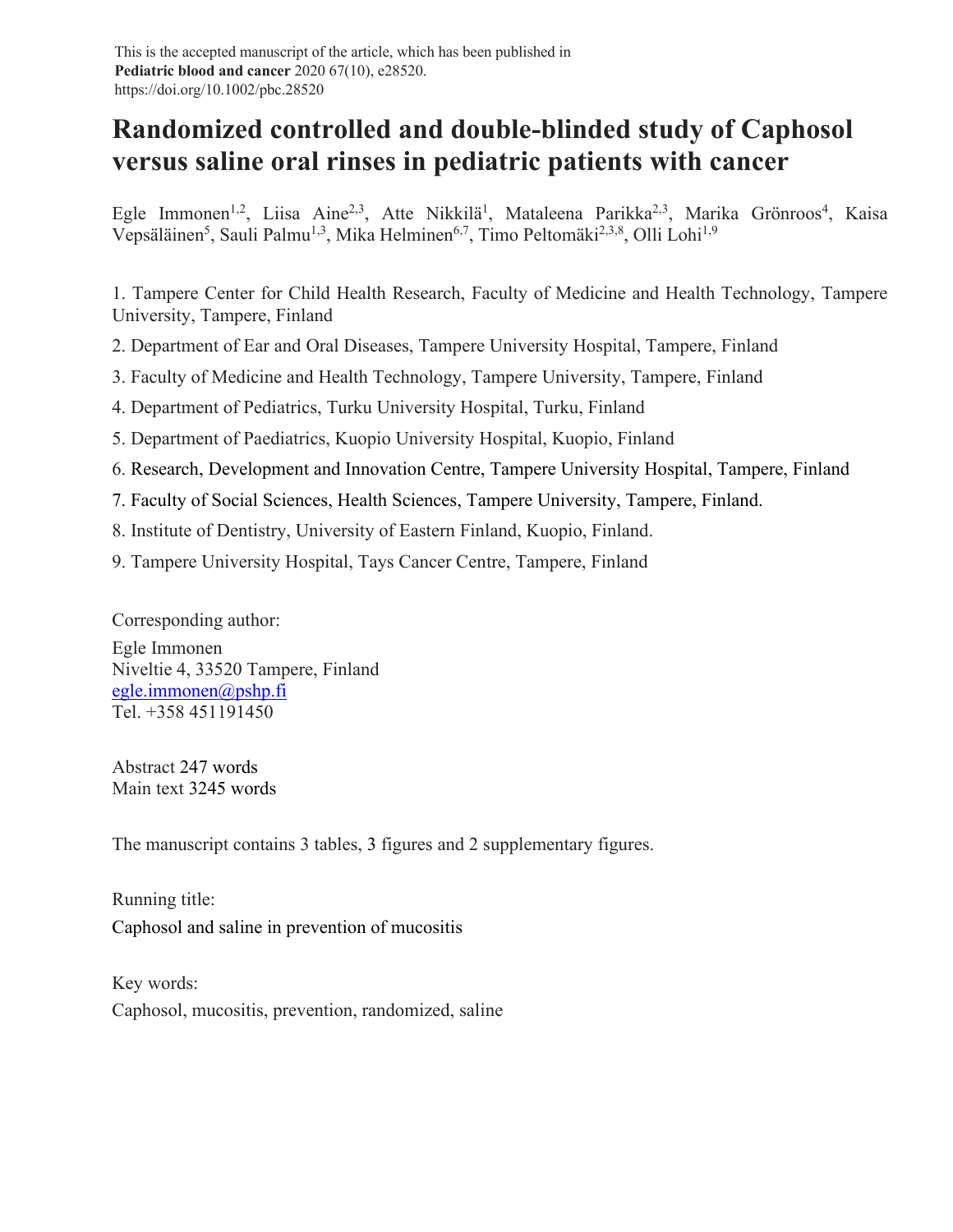# **Randomized controlled and double-blinded study of Caphosol versus saline oral rinses in pediatric patients with cancer**

Egle Immonen<sup>1,2</sup>, Liisa Aine<sup>2,3</sup>, Atte Nikkilä<sup>1</sup>, Mataleena Parikka<sup>2,3</sup>, Marika Grönroos<sup>4</sup>, Kaisa Vepsäläinen<sup>5</sup>, Sauli Palmu<sup>1,3</sup>, Mika Helminen<sup>6,7</sup>, Timo Peltomäki<sup>2,3,8</sup>, Olli Lohi<sup>1,9</sup>

1. Tampere Center for Child Health Research, Faculty of Medicine and Health Technology, Tampere University, Tampere, Finland

2. Department of Ear and Oral Diseases, Tampere University Hospital, Tampere, Finland

3. Faculty of Medicine and Health Technology, Tampere University, Tampere, Finland

4. Department of Pediatrics, Turku University Hospital, Turku, Finland

5. Department of Paediatrics, Kuopio University Hospital, Kuopio, Finland

6. Research, Development and Innovation Centre, Tampere University Hospital, Tampere, Finland

7. Faculty of Social Sciences, Health Sciences, Tampere University, Tampere, Finland.

8. Institute of Dentistry, University of Eastern Finland, Kuopio, Finland.

9. Tampere University Hospital, Tays Cancer Centre, Tampere, Finland

Corresponding author: Egle Immonen Niveltie 4, 33520 Tampere, Finland [egle.immonen@pshp.fi](mailto:egle.immonen@pshp.fi)  Tel. +358 451191450

Abstract 247 words Main text 3245 words

The manuscript contains 3 tables, 3 figures and 2 supplementary figures.

Running title: Caphosol and saline in prevention of mucositis

Key words: Caphosol, mucositis, prevention, randomized, saline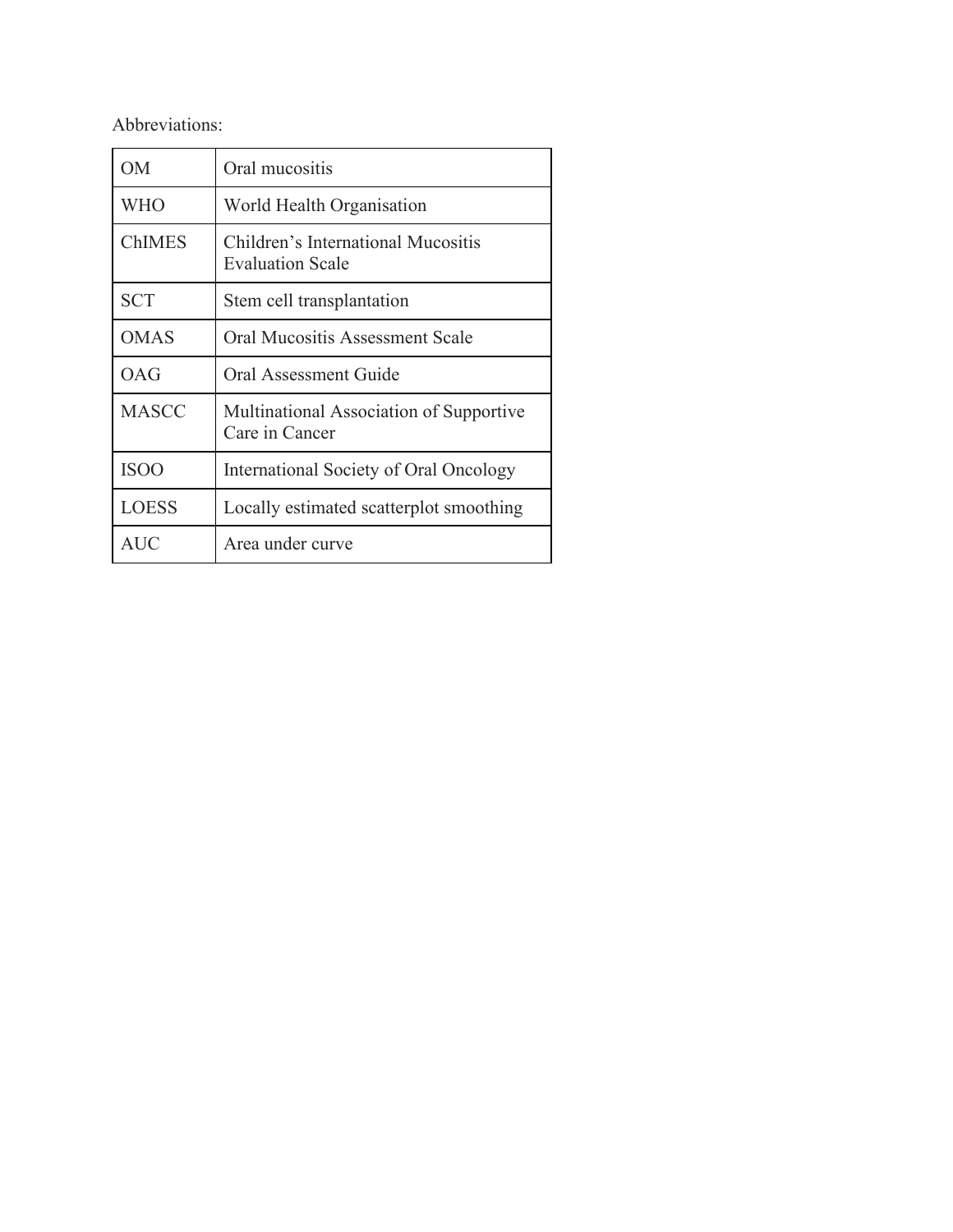Abbreviations:

| OM            | Oral mucositis                                                |
|---------------|---------------------------------------------------------------|
| WHO           | World Health Organisation                                     |
| <b>ChIMES</b> | Children's International Mucositis<br><b>Evaluation Scale</b> |
| <b>SCT</b>    | Stem cell transplantation                                     |
| <b>OMAS</b>   | Oral Mucositis Assessment Scale                               |
| OAG           | Oral Assessment Guide                                         |
| <b>MASCC</b>  | Multinational Association of Supportive<br>Care in Cancer     |
| <b>ISOO</b>   | International Society of Oral Oncology                        |
| <b>LOESS</b>  | Locally estimated scatterplot smoothing                       |
| <b>AUC</b>    | Area under curve                                              |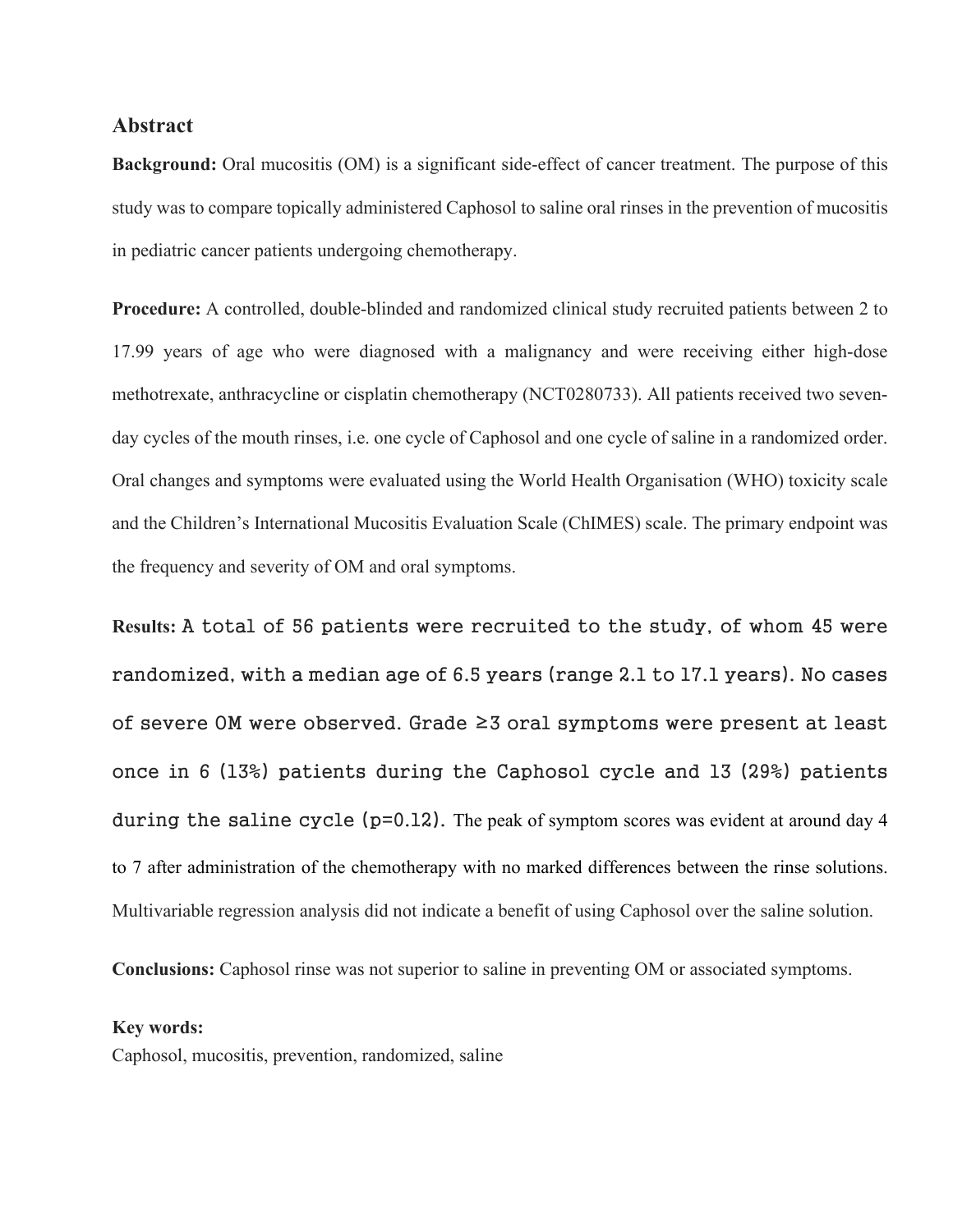## **Abstract**

**Background:** Oral mucositis (OM) is a significant side-effect of cancer treatment. The purpose of this study was to compare topically administered Caphosol to saline oral rinses in the prevention of mucositis in pediatric cancer patients undergoing chemotherapy.

**Procedure:** A controlled, double-blinded and randomized clinical study recruited patients between 2 to 17.99 years of age who were diagnosed with a malignancy and were receiving either high-dose methotrexate, anthracycline or cisplatin chemotherapy (NCT0280733). All patients received two sevenday cycles of the mouth rinses, i.e. one cycle of Caphosol and one cycle of saline in a randomized order. Oral changes and symptoms were evaluated using the World Health Organisation (WHO) toxicity scale and the Children's International Mucositis Evaluation Scale (ChIMES) scale. The primary endpoint was the frequency and severity of OM and oral symptoms.

**Results:** A total of 56 patients were recruited to the study, of whom 45 were randomized, with a median age of 6.5 years (range 2.1 to 17.1 years). No cases of severe OM were observed. Grade ≥3 oral symptoms were present at least once in 6 (13%) patients during the Caphosol cycle and 13 (29%) patients during the saline cycle (p=0.12). The peak of symptom scores was evident at around day 4 to 7 after administration of the chemotherapy with no marked differences between the rinse solutions. Multivariable regression analysis did not indicate a benefit of using Caphosol over the saline solution.

**Conclusions:** Caphosol rinse was not superior to saline in preventing OM or associated symptoms.

#### **Key words:**

Caphosol, mucositis, prevention, randomized, saline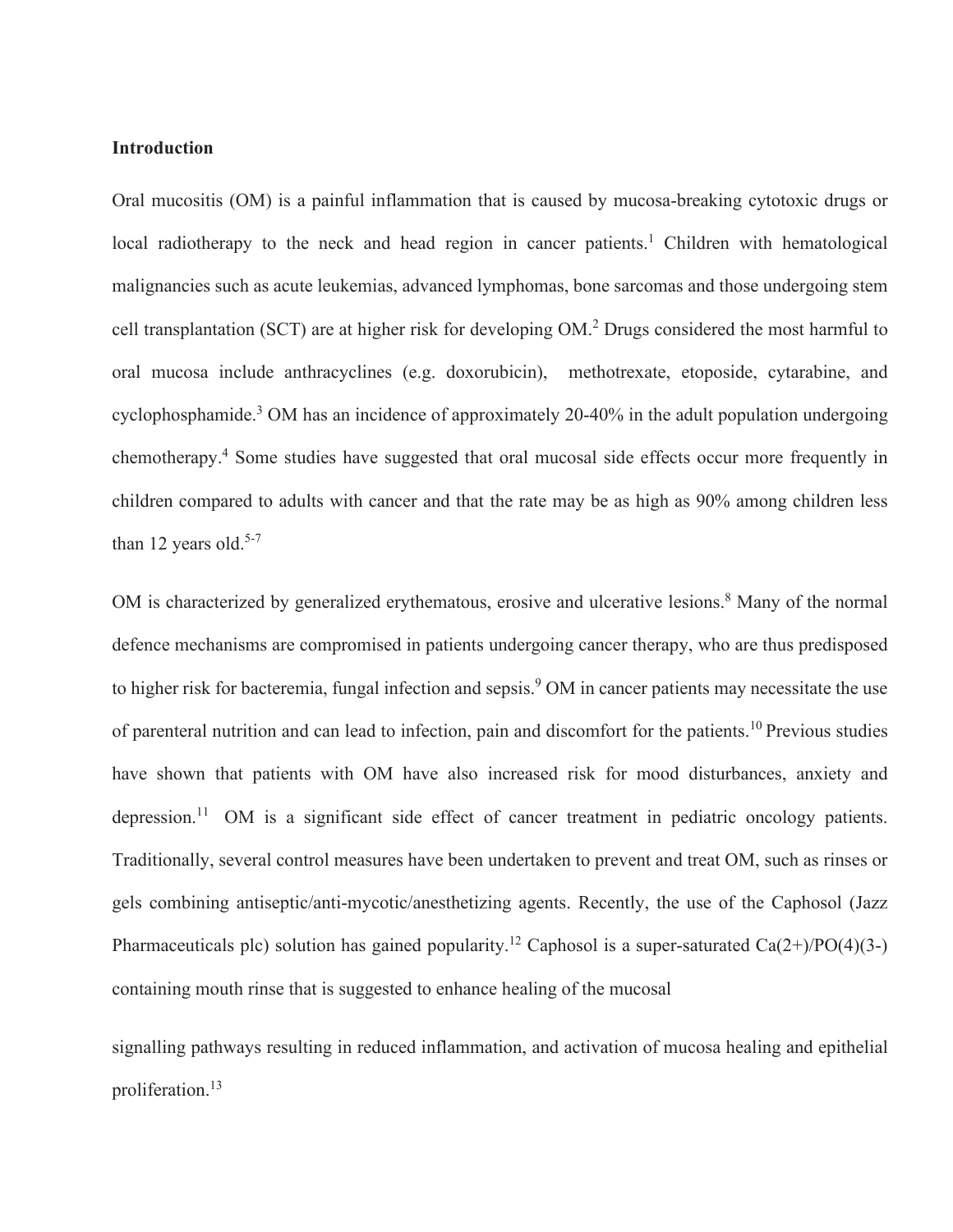#### **Introduction**

Oral mucositis (OM) is a painful inflammation that is caused by mucosa-breaking cytotoxic drugs or local radiotherapy to the neck and head region in cancer patients.<sup>1</sup> Children with hematological malignancies such as acute leukemias, advanced lymphomas, bone sarcomas and those undergoing stem cell transplantation (SCT) are at higher risk for developing OM.2 Drugs considered the most harmful to oral mucosa include anthracyclines (e.g. doxorubicin), methotrexate, etoposide, cytarabine, and cyclophosphamide.<sup>3</sup> OM has an incidence of approximately 20-40% in the adult population undergoing chemotherapy.<sup>4</sup> Some studies have suggested that oral mucosal side effects occur more frequently in children compared to adults with cancer and that the rate may be as high as 90% among children less than 12 years old. $5-7$ 

OM is characterized by generalized erythematous, erosive and ulcerative lesions.<sup>8</sup> Many of the normal defence mechanisms are compromised in patients undergoing cancer therapy, who are thus predisposed to higher risk for bacteremia, fungal infection and sepsis.<sup>9</sup> OM in cancer patients may necessitate the use of parenteral nutrition and can lead to infection, pain and discomfort for the patients.10 Previous studies have shown that patients with OM have also increased risk for mood disturbances, anxiety and depression.<sup>11</sup> OM is a significant side effect of cancer treatment in pediatric oncology patients. Traditionally, several control measures have been undertaken to prevent and treat OM, such as rinses or gels combining antiseptic/anti-mycotic/anesthetizing agents. Recently, the use of the Caphosol (Jazz Pharmaceuticals plc) solution has gained popularity.<sup>12</sup> Caphosol is a super-saturated Ca(2+)/PO(4)(3-) containing mouth rinse that is suggested to enhance healing of the mucosal

signalling pathways resulting in reduced inflammation, and activation of mucosa healing and epithelial proliferation.13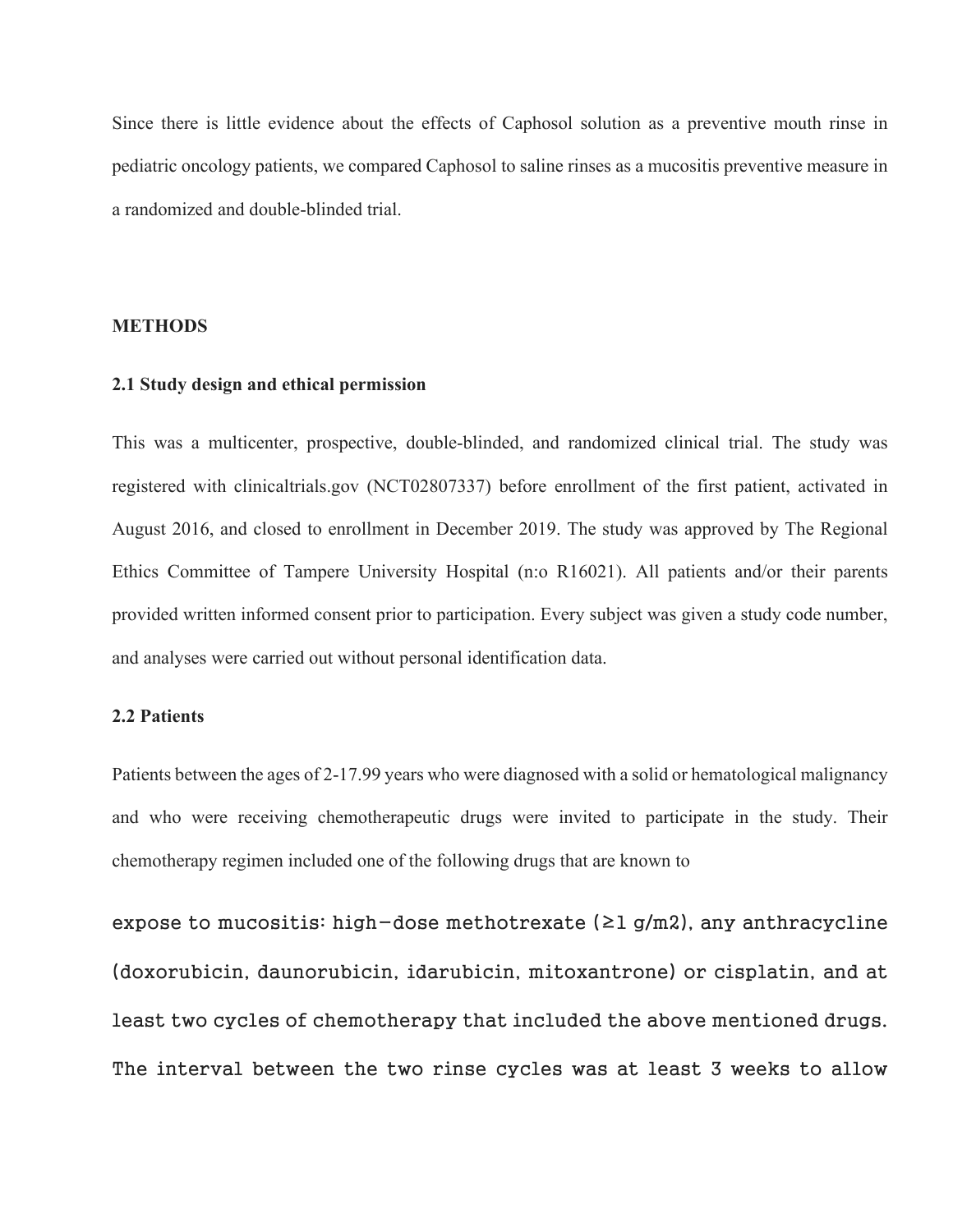Since there is little evidence about the effects of Caphosol solution as a preventive mouth rinse in pediatric oncology patients, we compared Caphosol to saline rinses as a mucositis preventive measure in a randomized and double-blinded trial.

#### **METHODS**

## **2.1 Study design and ethical permission**

This was a multicenter, prospective, double-blinded, and randomized clinical trial. The study was registered with clinicaltrials.gov (NCT02807337) before enrollment of the first patient, activated in August 2016, and closed to enrollment in December 2019. The study was approved by The Regional Ethics Committee of Tampere University Hospital (n:o R16021). All patients and/or their parents provided written informed consent prior to participation. Every subject was given a study code number, and analyses were carried out without personal identification data.

## **2.2 Patients**

Patients between the ages of 2-17.99 years who were diagnosed with a solid or hematological malignancy and who were receiving chemotherapeutic drugs were invited to participate in the study. Their chemotherapy regimen included one of the following drugs that are known to

expose to mucositis: high-dose methotrexate  $(\geq 1)$  g/m2), any anthracycline (doxorubicin, daunorubicin, idarubicin, mitoxantrone) or cisplatin, and at least two cycles of chemotherapy that included the above mentioned drugs. The interval between the two rinse cycles was at least 3 weeks to allow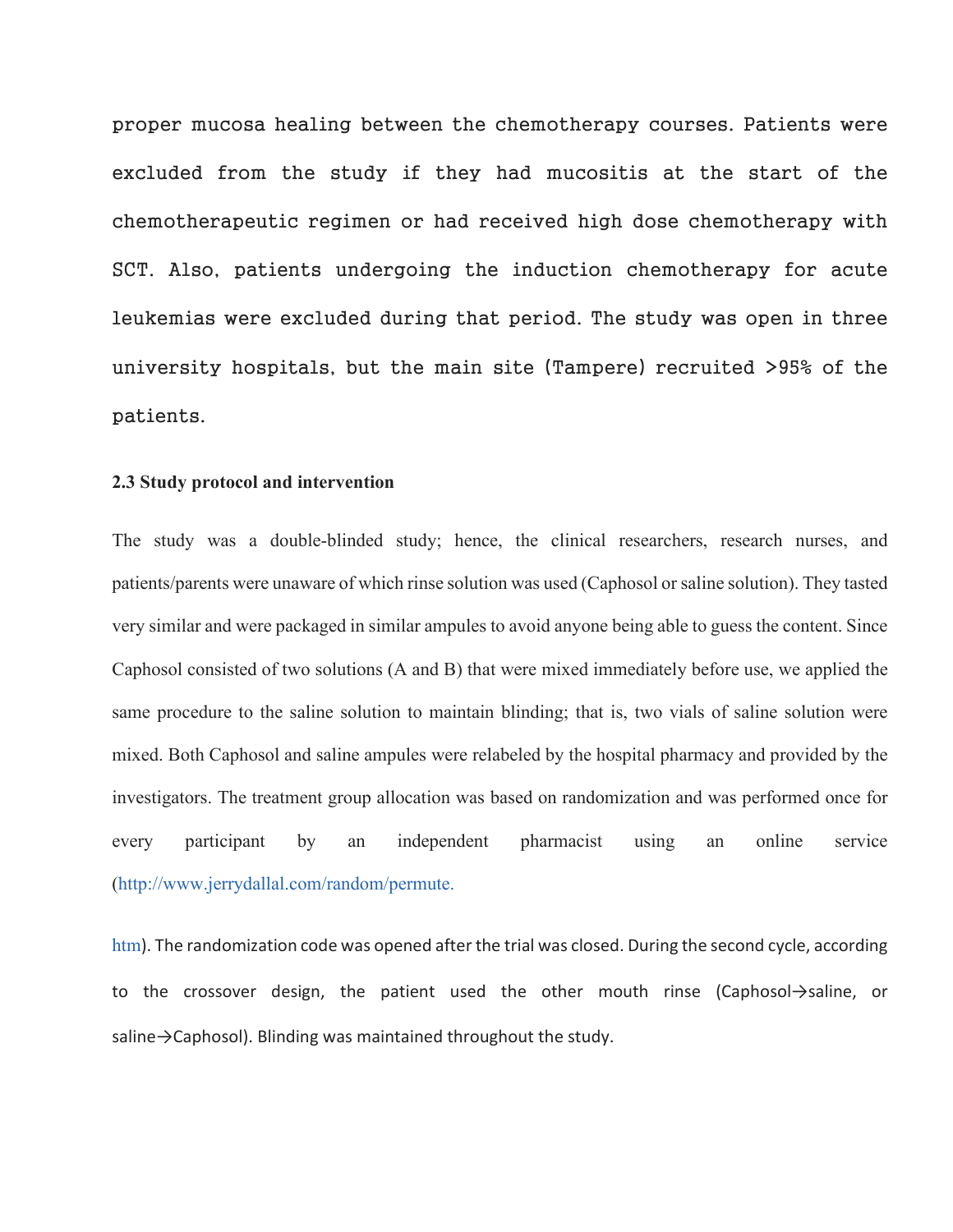proper mucosa healing between the chemotherapy courses. Patients were excluded from the study if they had mucositis at the start of the chemotherapeutic regimen or had received high dose chemotherapy with SCT. Also, patients undergoing the induction chemotherapy for acute leukemias were excluded during that period. The study was open in three university hospitals, but the main site (Tampere) recruited >95% of the patients.

#### **2.3 Study protocol and intervention**

The study was a double-blinded study; hence, the clinical researchers, research nurses, and patients/parents were unaware of which rinse solution was used (Caphosol or saline solution). They tasted very similar and were packaged in similar ampules to avoid anyone being able to guess the content. Since Caphosol consisted of two solutions (A and B) that were mixed immediately before use, we applied the same procedure to the saline solution to maintain blinding; that is, two vials of saline solution were mixed. Both Caphosol and saline ampules were relabeled by the hospital pharmacy and provided by the investigators. The treatment group allocation was based on randomization and was performed once for every participant by an independent pharmacist using an online service (http://www.jerrydallal.com/random/permute.

htm). The randomization code was opened after the trial was closed. During the second cycle, according to the crossover design, the patient used the other mouth rinse (Caphosol→saline, or saline→Caphosol). Blinding was maintained throughout the study.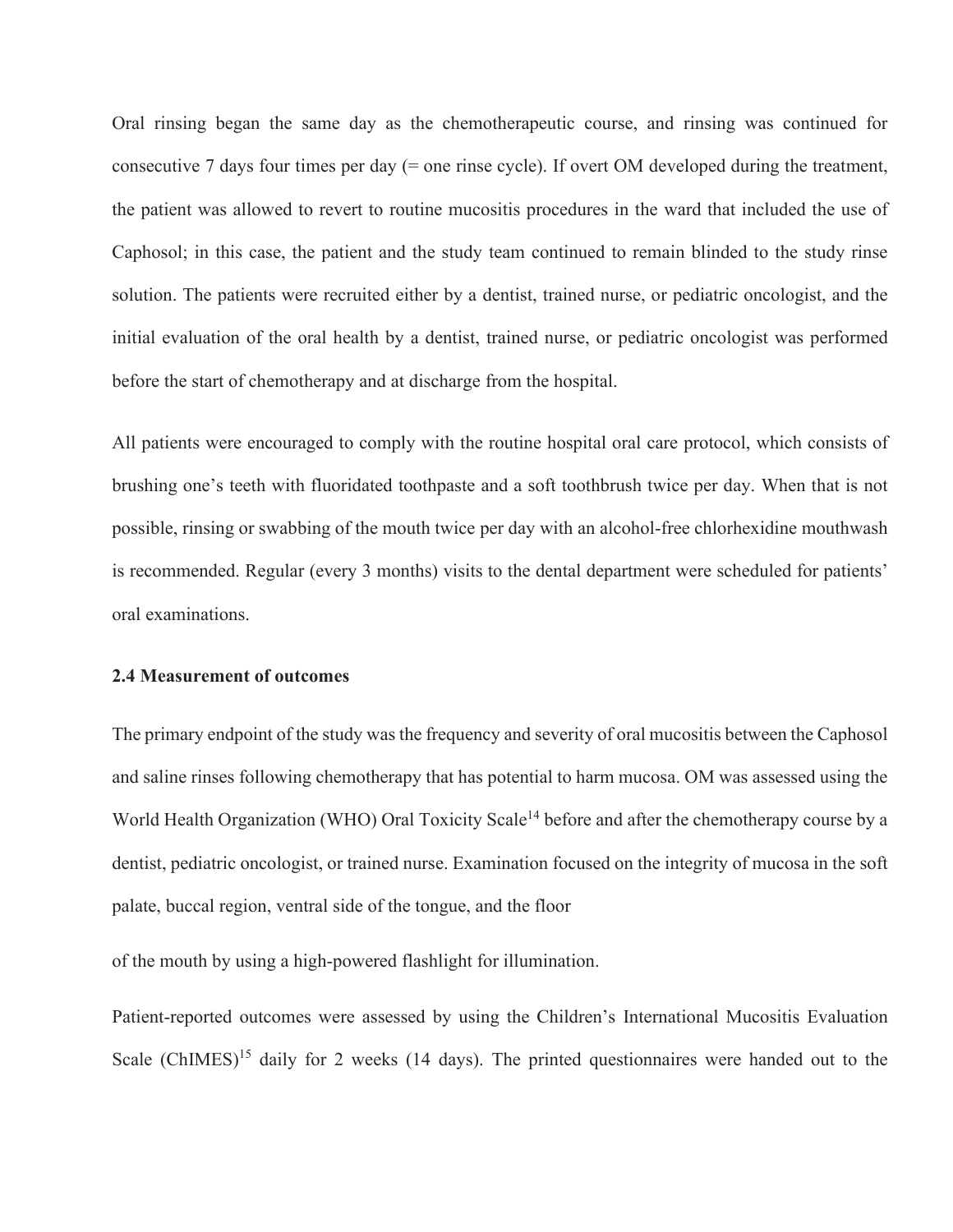Oral rinsing began the same day as the chemotherapeutic course, and rinsing was continued for consecutive 7 days four times per day (= one rinse cycle). If overt OM developed during the treatment, the patient was allowed to revert to routine mucositis procedures in the ward that included the use of Caphosol; in this case, the patient and the study team continued to remain blinded to the study rinse solution. The patients were recruited either by a dentist, trained nurse, or pediatric oncologist, and the initial evaluation of the oral health by a dentist, trained nurse, or pediatric oncologist was performed before the start of chemotherapy and at discharge from the hospital.

All patients were encouraged to comply with the routine hospital oral care protocol, which consists of brushing one's teeth with fluoridated toothpaste and a soft toothbrush twice per day. When that is not possible, rinsing or swabbing of the mouth twice per day with an alcohol-free chlorhexidine mouthwash is recommended. Regular (every 3 months) visits to the dental department were scheduled for patients' oral examinations.

## **2.4 Measurement of outcomes**

The primary endpoint of the study was the frequency and severity of oral mucositis between the Caphosol and saline rinses following chemotherapy that has potential to harm mucosa. OM was assessed using the World Health Organization (WHO) Oral Toxicity Scale<sup>14</sup> before and after the chemotherapy course by a dentist, pediatric oncologist, or trained nurse. Examination focused on the integrity of mucosa in the soft palate, buccal region, ventral side of the tongue, and the floor

of the mouth by using a high-powered flashlight for illumination.

Patient-reported outcomes were assessed by using the Children's International Mucositis Evaluation Scale  $(ChIMES)^{15}$  daily for 2 weeks (14 days). The printed questionnaires were handed out to the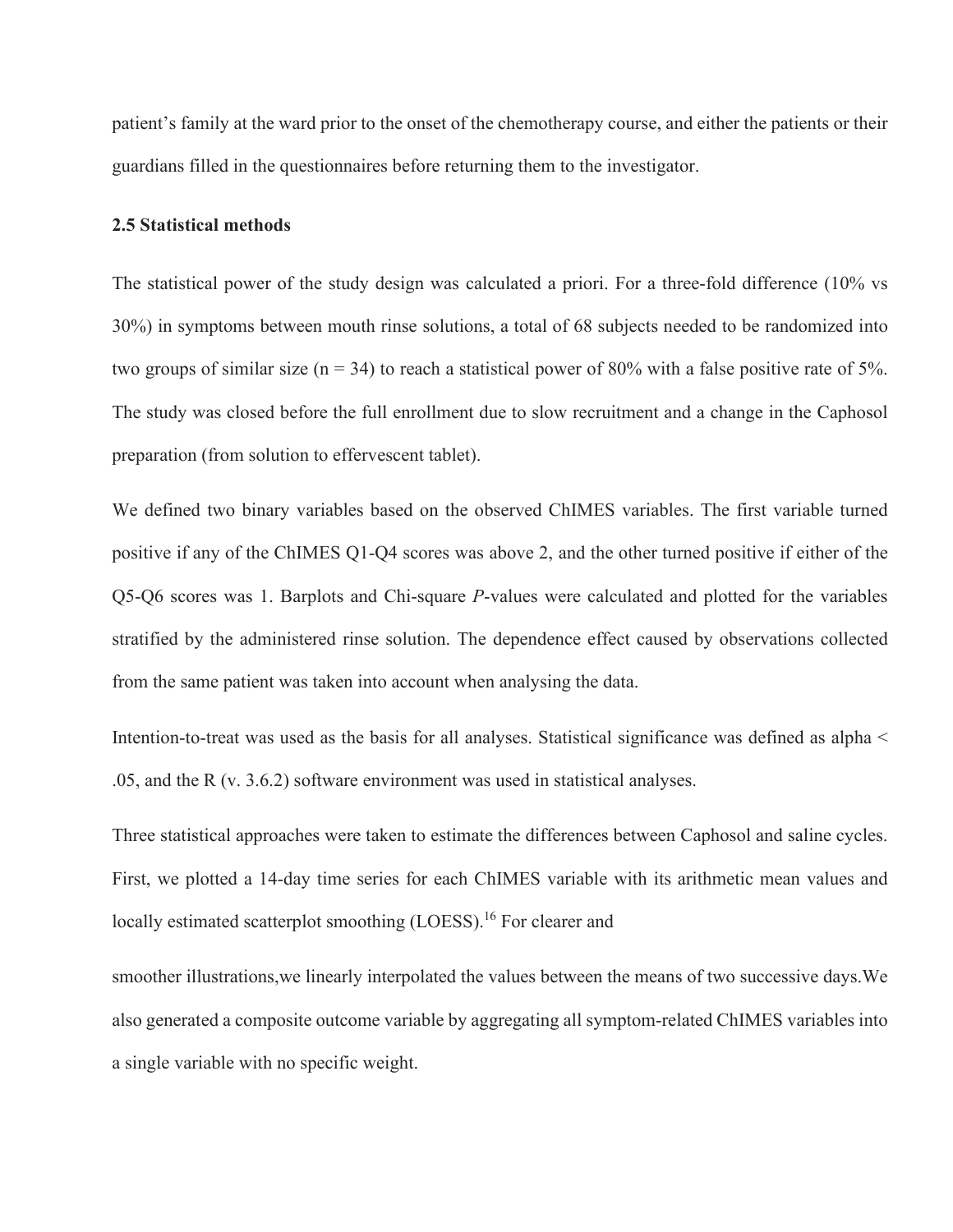patient's family at the ward prior to the onset of the chemotherapy course, and either the patients or their guardians filled in the questionnaires before returning them to the investigator.

#### **2.5 Statistical methods**

The statistical power of the study design was calculated a priori. For a three-fold difference (10% vs 30%) in symptoms between mouth rinse solutions, a total of 68 subjects needed to be randomized into two groups of similar size ( $n = 34$ ) to reach a statistical power of 80% with a false positive rate of 5%. The study was closed before the full enrollment due to slow recruitment and a change in the Caphosol preparation (from solution to effervescent tablet).

We defined two binary variables based on the observed ChIMES variables. The first variable turned positive if any of the ChIMES Q1-Q4 scores was above 2, and the other turned positive if either of the Q5-Q6 scores was 1. Barplots and Chi-square *P*-values were calculated and plotted for the variables stratified by the administered rinse solution. The dependence effect caused by observations collected from the same patient was taken into account when analysing the data.

Intention-to-treat was used as the basis for all analyses. Statistical significance was defined as alpha < .05, and the R (v. 3.6.2) software environment was used in statistical analyses.

Three statistical approaches were taken to estimate the differences between Caphosol and saline cycles. First, we plotted a 14-day time series for each ChIMES variable with its arithmetic mean values and locally estimated scatterplot smoothing (LOESS).<sup>16</sup> For clearer and

smoother illustrations,we linearly interpolated the values between the means of two successive days.We also generated a composite outcome variable by aggregating all symptom-related ChIMES variables into a single variable with no specific weight.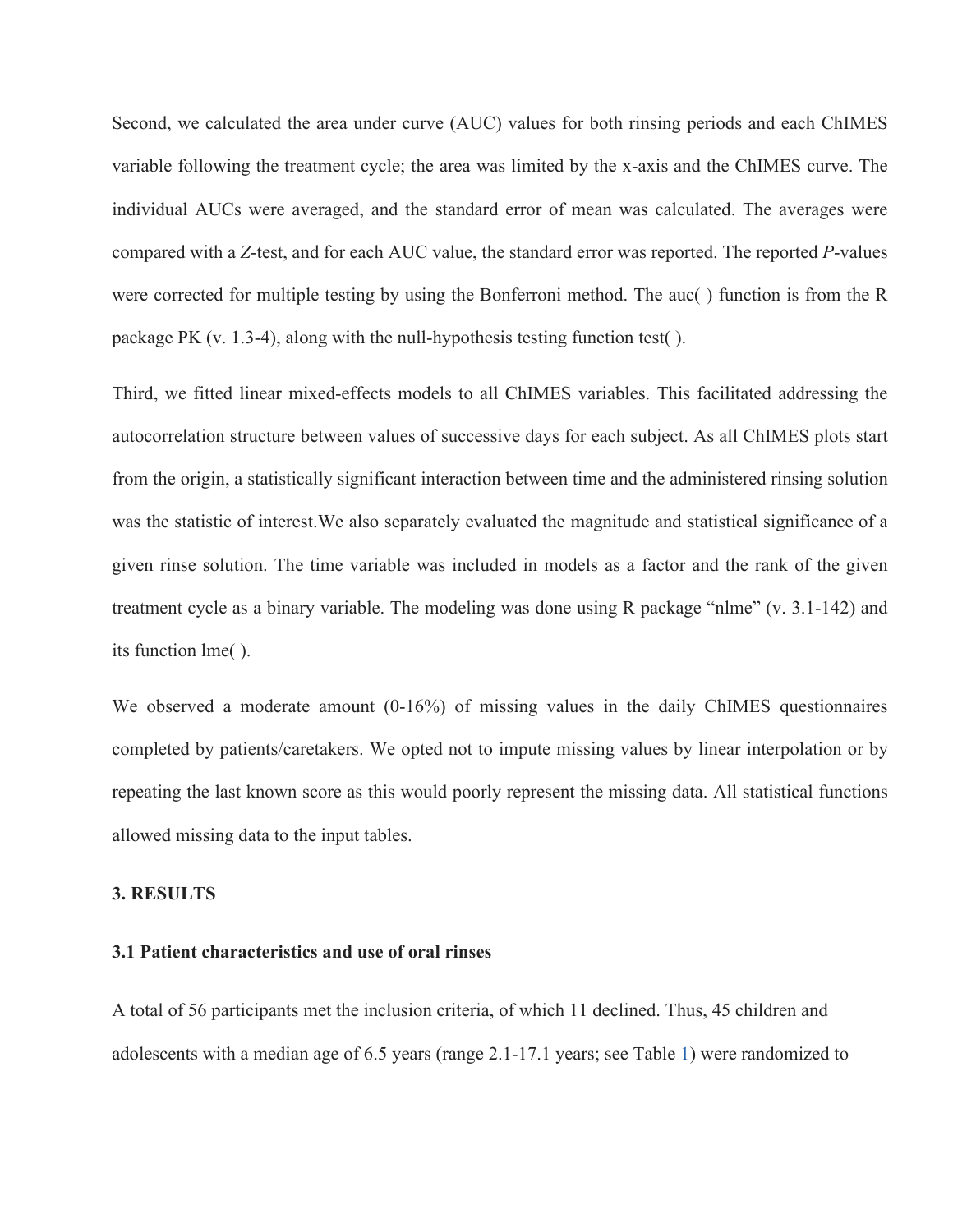Second, we calculated the area under curve (AUC) values for both rinsing periods and each ChIMES variable following the treatment cycle; the area was limited by the x-axis and the ChIMES curve. The individual AUCs were averaged, and the standard error of mean was calculated. The averages were compared with a *Z*-test, and for each AUC value, the standard error was reported. The reported *P*-values were corrected for multiple testing by using the Bonferroni method. The auc( ) function is from the R package PK (v. 1.3-4), along with the null-hypothesis testing function test( ).

Third, we fitted linear mixed-effects models to all ChIMES variables. This facilitated addressing the autocorrelation structure between values of successive days for each subject. As all ChIMES plots start from the origin, a statistically significant interaction between time and the administered rinsing solution was the statistic of interest.We also separately evaluated the magnitude and statistical significance of a given rinse solution. The time variable was included in models as a factor and the rank of the given treatment cycle as a binary variable. The modeling was done using R package "nlme" (v. 3.1-142) and its function lme( ).

We observed a moderate amount (0-16%) of missing values in the daily ChIMES questionnaires completed by patients/caretakers. We opted not to impute missing values by linear interpolation or by repeating the last known score as this would poorly represent the missing data. All statistical functions allowed missing data to the input tables.

#### **3. RESULTS**

## **3.1 Patient characteristics and use of oral rinses**

A total of 56 participants met the inclusion criteria, of which 11 declined. Thus, 45 children and adolescents with a median age of 6.5 years (range 2.1-17.1 years; see Table 1) were randomized to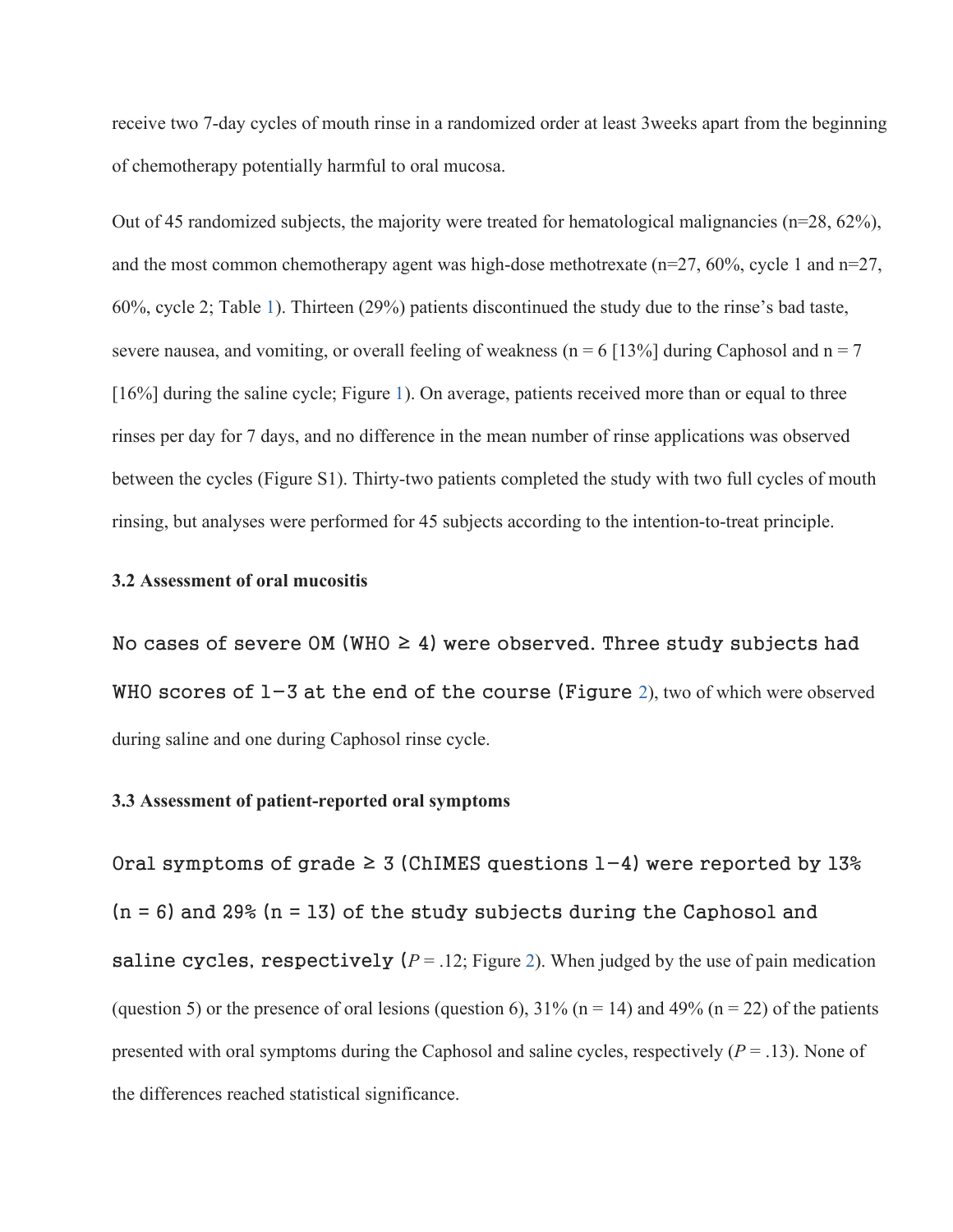receive two 7-day cycles of mouth rinse in a randomized order at least 3weeks apart from the beginning of chemotherapy potentially harmful to oral mucosa.

Out of 45 randomized subjects, the majority were treated for hematological malignancies (n=28, 62%), and the most common chemotherapy agent was high-dose methotrexate ( $n=27, 60\%$ , cycle 1 and  $n=27$ , 60%, cycle 2; Table 1). Thirteen (29%) patients discontinued the study due to the rinse's bad taste, severe nausea, and vomiting, or overall feeling of weakness ( $n = 6$  [13%] during Caphosol and  $n = 7$ [16%] during the saline cycle; Figure 1). On average, patients received more than or equal to three rinses per day for 7 days, and no difference in the mean number of rinse applications was observed between the cycles (Figure S1). Thirty-two patients completed the study with two full cycles of mouth rinsing, but analyses were performed for 45 subjects according to the intention-to-treat principle.

#### **3.2 Assessment of oral mucositis**

No cases of severe OM (WHO  $\geq$  4) were observed. Three study subjects had WHO scores of  $1-3$  at the end of the course (Figure 2), two of which were observed during saline and one during Caphosol rinse cycle.

#### **3.3 Assessment of patient-reported oral symptoms**

Oral symptoms of grade  $\geq$  3 (ChIMES questions 1-4) were reported by 13%  $(n = 6)$  and 29%  $(n = 13)$  of the study subjects during the Caphosol and saline cycles, respectively  $(P = .12;$  Figure 2). When judged by the use of pain medication (question 5) or the presence of oral lesions (question 6),  $31\%$  (n = 14) and 49% (n = 22) of the patients presented with oral symptoms during the Caphosol and saline cycles, respectively (*P* = .13). None of the differences reached statistical significance.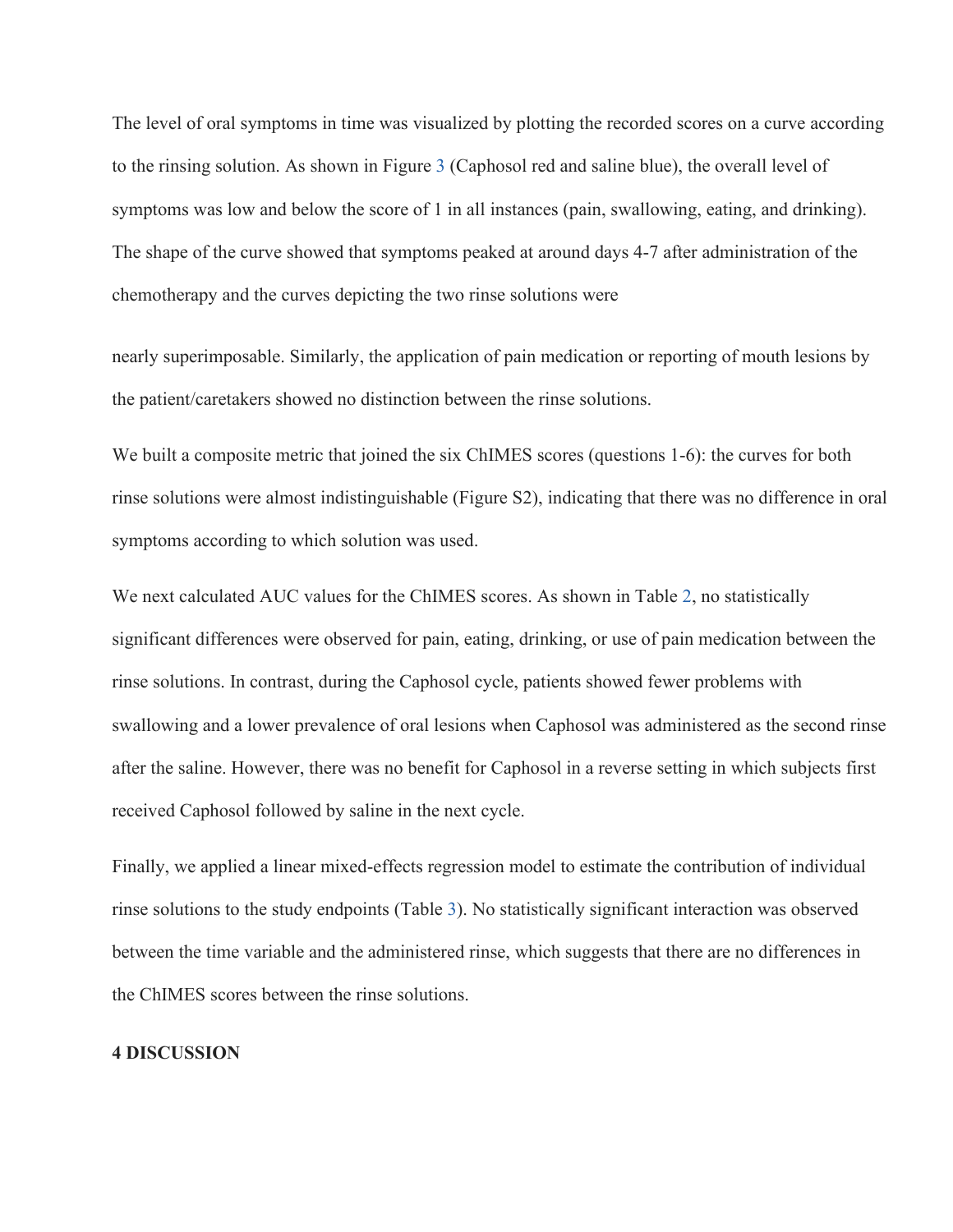The level of oral symptoms in time was visualized by plotting the recorded scores on a curve according to the rinsing solution. As shown in Figure 3 (Caphosol red and saline blue), the overall level of symptoms was low and below the score of 1 in all instances (pain, swallowing, eating, and drinking). The shape of the curve showed that symptoms peaked at around days 4-7 after administration of the chemotherapy and the curves depicting the two rinse solutions were

nearly superimposable. Similarly, the application of pain medication or reporting of mouth lesions by the patient/caretakers showed no distinction between the rinse solutions.

We built a composite metric that joined the six ChIMES scores (questions 1-6): the curves for both rinse solutions were almost indistinguishable (Figure S2), indicating that there was no difference in oral symptoms according to which solution was used.

We next calculated AUC values for the ChIMES scores. As shown in Table 2, no statistically significant differences were observed for pain, eating, drinking, or use of pain medication between the rinse solutions. In contrast, during the Caphosol cycle, patients showed fewer problems with swallowing and a lower prevalence of oral lesions when Caphosol was administered as the second rinse after the saline. However, there was no benefit for Caphosol in a reverse setting in which subjects first received Caphosol followed by saline in the next cycle.

Finally, we applied a linear mixed-effects regression model to estimate the contribution of individual rinse solutions to the study endpoints (Table 3). No statistically significant interaction was observed between the time variable and the administered rinse, which suggests that there are no differences in the ChIMES scores between the rinse solutions.

## **4 DISCUSSION**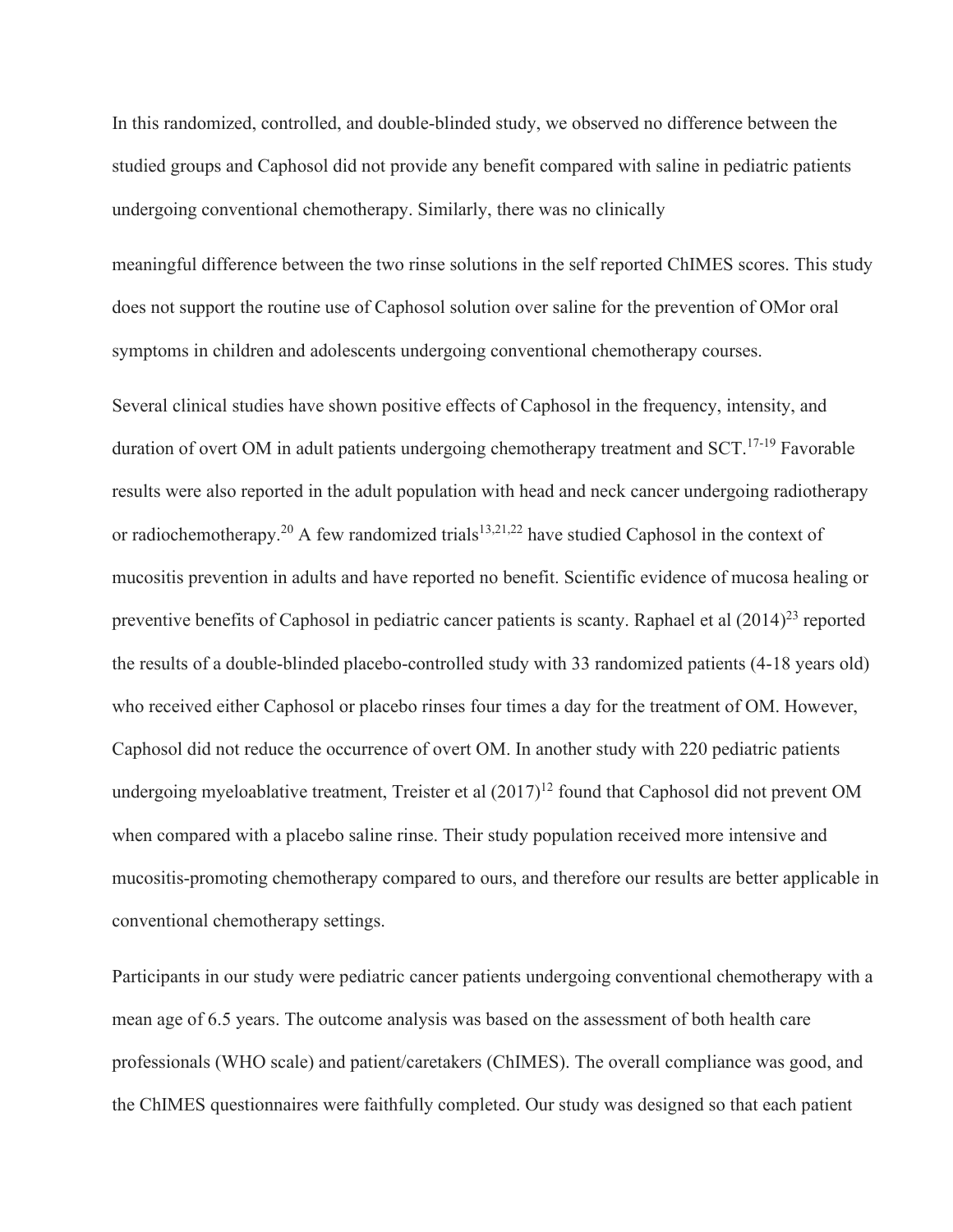In this randomized, controlled, and double-blinded study, we observed no difference between the studied groups and Caphosol did not provide any benefit compared with saline in pediatric patients undergoing conventional chemotherapy. Similarly, there was no clinically

meaningful difference between the two rinse solutions in the self reported ChIMES scores. This study does not support the routine use of Caphosol solution over saline for the prevention of OMor oral symptoms in children and adolescents undergoing conventional chemotherapy courses.

Several clinical studies have shown positive effects of Caphosol in the frequency, intensity, and duration of overt OM in adult patients undergoing chemotherapy treatment and SCT.<sup>17-19</sup> Favorable results were also reported in the adult population with head and neck cancer undergoing radiotherapy or radiochemotherapy.<sup>20</sup> A few randomized trials<sup>13,21,22</sup> have studied Caphosol in the context of mucositis prevention in adults and have reported no benefit. Scientific evidence of mucosa healing or preventive benefits of Caphosol in pediatric cancer patients is scanty. Raphael et al  $(2014)^{23}$  reported the results of a double-blinded placebo-controlled study with 33 randomized patients (4-18 years old) who received either Caphosol or placebo rinses four times a day for the treatment of OM. However, Caphosol did not reduce the occurrence of overt OM. In another study with 220 pediatric patients undergoing myeloablative treatment, Treister et al  $(2017)^{12}$  found that Caphosol did not prevent OM when compared with a placebo saline rinse. Their study population received more intensive and mucositis-promoting chemotherapy compared to ours, and therefore our results are better applicable in conventional chemotherapy settings.

Participants in our study were pediatric cancer patients undergoing conventional chemotherapy with a mean age of 6.5 years. The outcome analysis was based on the assessment of both health care professionals (WHO scale) and patient/caretakers (ChIMES). The overall compliance was good, and the ChIMES questionnaires were faithfully completed. Our study was designed so that each patient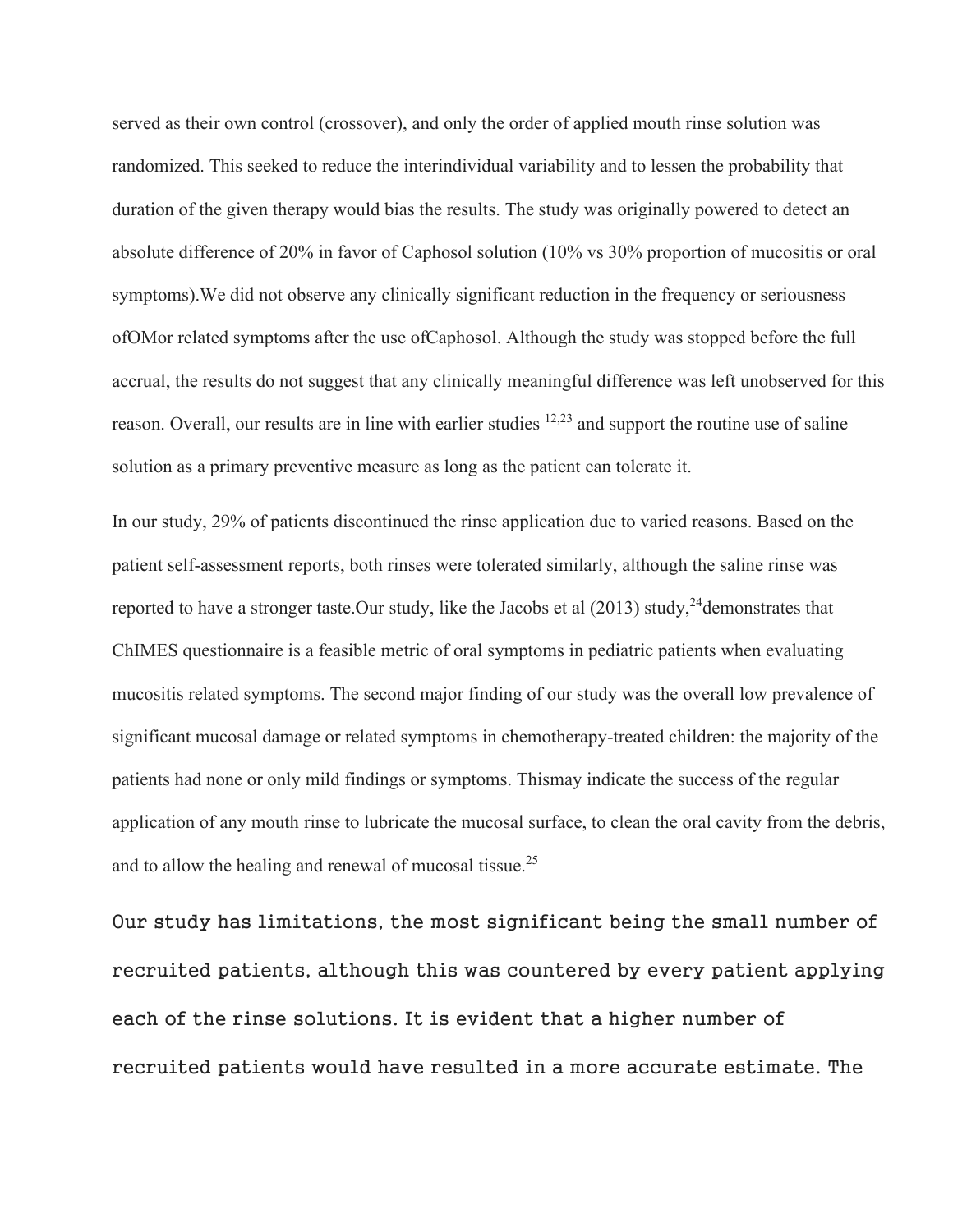served as their own control (crossover), and only the order of applied mouth rinse solution was randomized. This seeked to reduce the interindividual variability and to lessen the probability that duration of the given therapy would bias the results. The study was originally powered to detect an absolute difference of 20% in favor of Caphosol solution (10% vs 30% proportion of mucositis or oral symptoms).We did not observe any clinically significant reduction in the frequency or seriousness ofOMor related symptoms after the use ofCaphosol. Although the study was stopped before the full accrual, the results do not suggest that any clinically meaningful difference was left unobserved for this reason. Overall, our results are in line with earlier studies 12,23 and support the routine use of saline solution as a primary preventive measure as long as the patient can tolerate it.

In our study, 29% of patients discontinued the rinse application due to varied reasons. Based on the patient self-assessment reports, both rinses were tolerated similarly, although the saline rinse was reported to have a stronger taste.Our study, like the Jacobs et al  $(2013)$  study,<sup>24</sup> demonstrates that ChIMES questionnaire is a feasible metric of oral symptoms in pediatric patients when evaluating mucositis related symptoms. The second major finding of our study was the overall low prevalence of significant mucosal damage or related symptoms in chemotherapy-treated children: the majority of the patients had none or only mild findings or symptoms. Thismay indicate the success of the regular application of any mouth rinse to lubricate the mucosal surface, to clean the oral cavity from the debris, and to allow the healing and renewal of mucosal tissue.25

Our study has limitations, the most significant being the small number of recruited patients, although this was countered by every patient applying each of the rinse solutions. It is evident that a higher number of recruited patients would have resulted in a more accurate estimate. The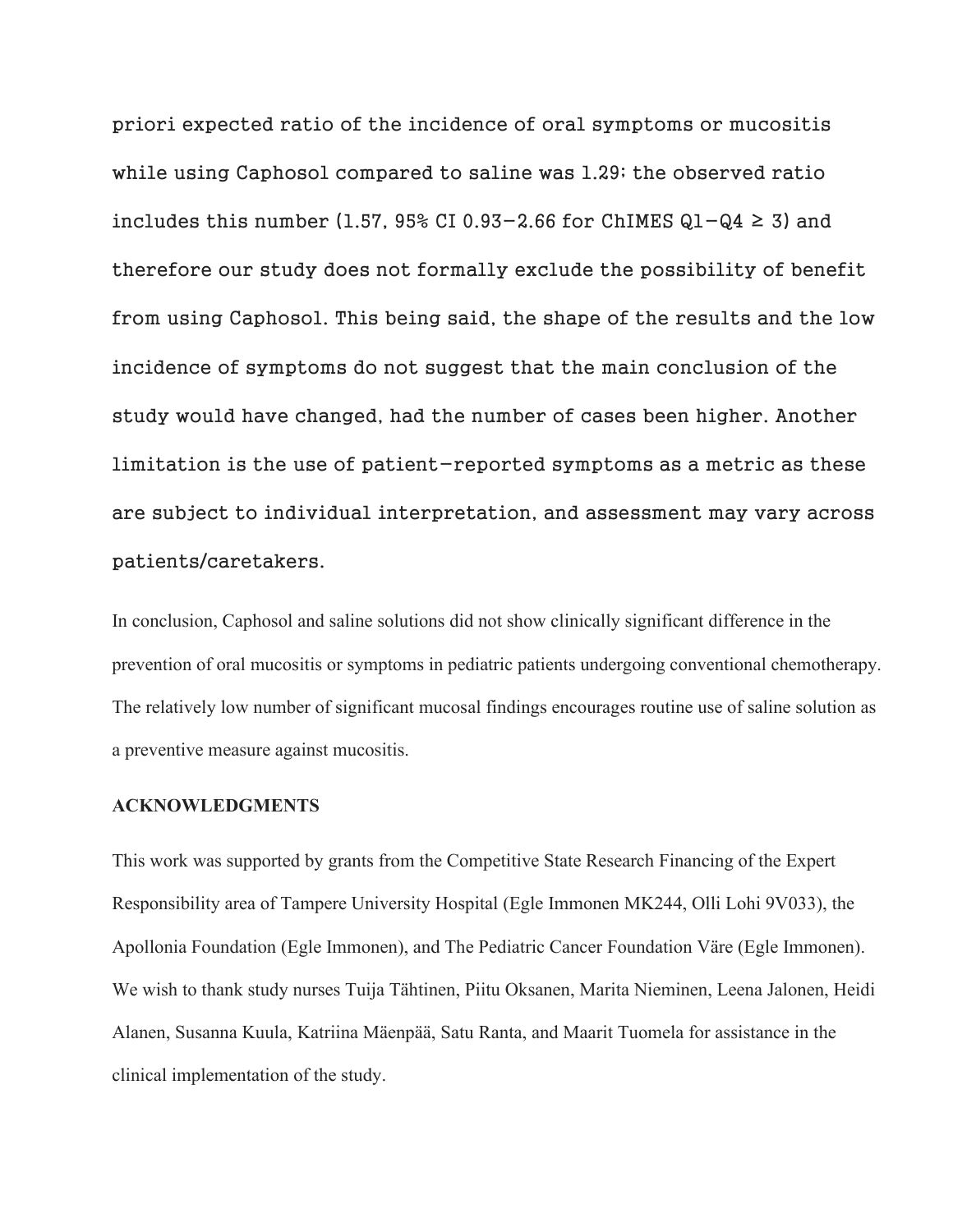priori expected ratio of the incidence of oral symptoms or mucositis while using Caphosol compared to saline was 1.29; the observed ratio includes this number (1.57, 95% CI 0.93-2.66 for ChIMES  $Q1-Q4 \ge 3$ ) and therefore our study does not formally exclude the possibility of benefit from using Caphosol. This being said, the shape of the results and the low incidence of symptoms do not suggest that the main conclusion of the study would have changed, had the number of cases been higher. Another limitation is the use of patient-reported symptoms as a metric as these are subject to individual interpretation, and assessment may vary across patients/caretakers.

In conclusion, Caphosol and saline solutions did not show clinically significant difference in the prevention of oral mucositis or symptoms in pediatric patients undergoing conventional chemotherapy. The relatively low number of significant mucosal findings encourages routine use of saline solution as a preventive measure against mucositis.

#### **ACKNOWLEDGMENTS**

This work was supported by grants from the Competitive State Research Financing of the Expert Responsibility area of Tampere University Hospital (Egle Immonen MK244, Olli Lohi 9V033), the Apollonia Foundation (Egle Immonen), and The Pediatric Cancer Foundation Väre (Egle Immonen). We wish to thank study nurses Tuija Tähtinen, Piitu Oksanen, Marita Nieminen, Leena Jalonen, Heidi Alanen, Susanna Kuula, Katriina Mäenpää, Satu Ranta, and Maarit Tuomela for assistance in the clinical implementation of the study.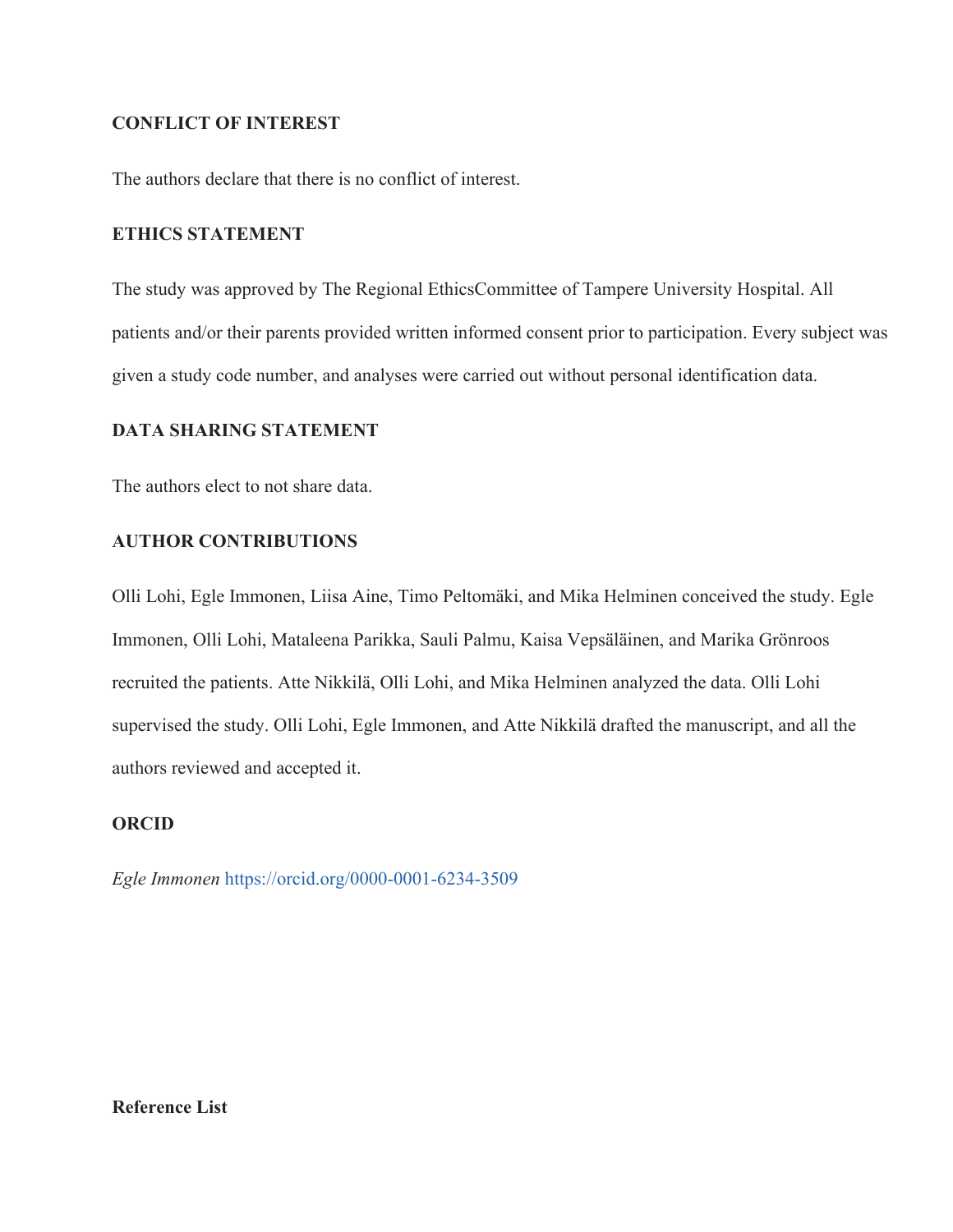## **CONFLICT OF INTEREST**

The authors declare that there is no conflict of interest.

## **ETHICS STATEMENT**

The study was approved by The Regional EthicsCommittee of Tampere University Hospital. All patients and/or their parents provided written informed consent prior to participation. Every subject was given a study code number, and analyses were carried out without personal identification data.

## **DATA SHARING STATEMENT**

The authors elect to not share data.

## **AUTHOR CONTRIBUTIONS**

Olli Lohi, Egle Immonen, Liisa Aine, Timo Peltomäki, and Mika Helminen conceived the study. Egle Immonen, Olli Lohi, Mataleena Parikka, Sauli Palmu, Kaisa Vepsäläinen, and Marika Grönroos recruited the patients. Atte Nikkilä, Olli Lohi, and Mika Helminen analyzed the data. Olli Lohi supervised the study. Olli Lohi, Egle Immonen, and Atte Nikkilä drafted the manuscript, and all the authors reviewed and accepted it.

## **ORCID**

*Egle Immonen* https://orcid.org/0000-0001-6234-3509

# **Reference List**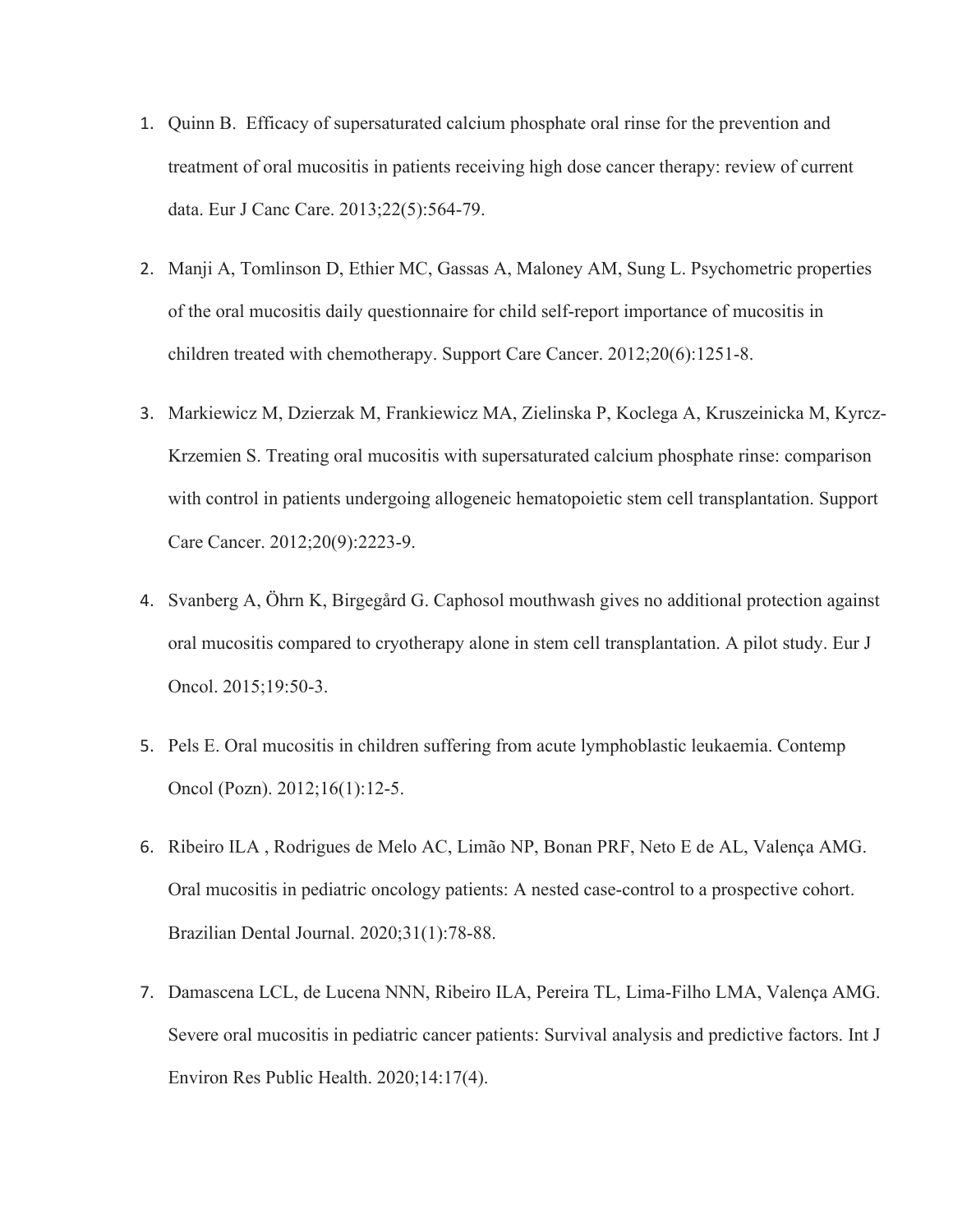- 1. Quinn B. Efficacy of supersaturated calcium phosphate oral rinse for the prevention and treatment of oral mucositis in patients receiving high dose cancer therapy: review of current data. Eur J Canc Care. 2013;22(5):564-79.
- 2. Manji A, Tomlinson D, Ethier MC, Gassas A, Maloney AM, Sung L. Psychometric properties of the oral mucositis daily questionnaire for child self-report importance of mucositis in children treated with chemotherapy. Support Care Cancer. 2012;20(6):1251-8.
- 3. Markiewicz M, Dzierzak M, Frankiewicz MA, Zielinska P, Koclega A, Kruszeinicka M, Kyrcz-Krzemien S. Treating oral mucositis with supersaturated calcium phosphate rinse: comparison with control in patients undergoing allogeneic hematopoietic stem cell transplantation. Support Care Cancer. 2012;20(9):2223-9.
- 4. Svanberg A, Öhrn K, Birgegård G. Caphosol mouthwash gives no additional protection against oral mucositis compared to cryotherapy alone in stem cell transplantation. A pilot study. Eur J Oncol. 2015;19:50-3.
- 5. Pels E. Oral mucositis in children suffering from acute lymphoblastic leukaemia. Contemp Oncol (Pozn). 2012;16(1):12-5.
- 6. Ribeiro ILA , Rodrigues de Melo AC, Limão NP, Bonan PRF, Neto E de AL, Valença AMG. Oral mucositis in pediatric oncology patients: A nested case-control to a prospective cohort. Brazilian Dental Journal. 2020;31(1):78-88.
- 7. Damascena LCL, de Lucena NNN, Ribeiro ILA, Pereira TL, Lima-Filho LMA, Valença AMG. Severe oral mucositis in pediatric cancer patients: Survival analysis and predictive factors. Int J Environ Res Public Health. 2020;14:17(4).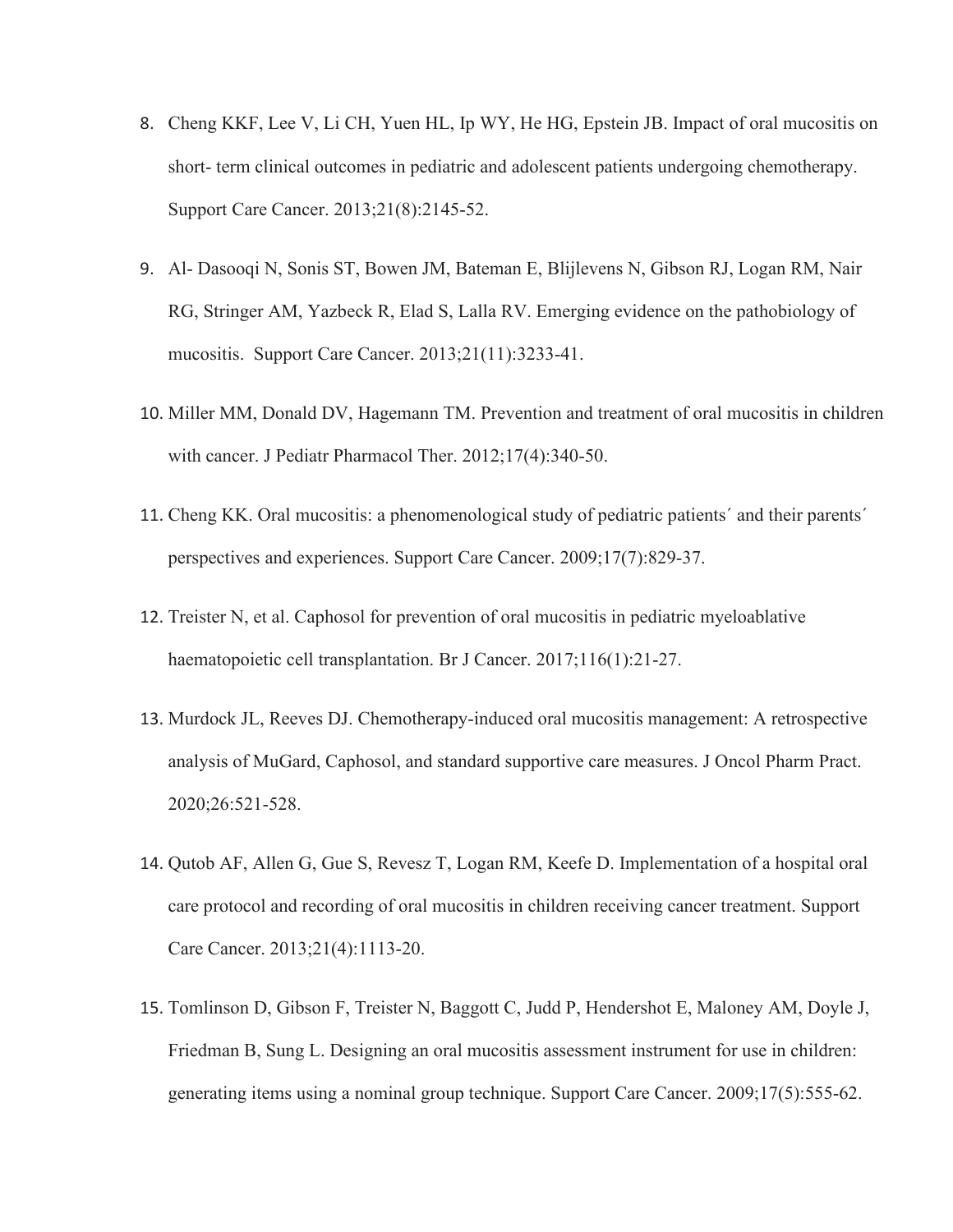- 8. Cheng KKF, Lee V, Li CH, Yuen HL, Ip WY, He HG, Epstein JB. Impact of oral mucositis on short- term clinical outcomes in pediatric and adolescent patients undergoing chemotherapy. Support Care Cancer. 2013;21(8):2145-52.
- 9. Al- Dasooqi N, Sonis ST, Bowen JM, Bateman E, Blijlevens N, Gibson RJ, Logan RM, Nair RG, Stringer AM, Yazbeck R, Elad S, Lalla RV. Emerging evidence on the pathobiology of mucositis. Support Care Cancer. 2013;21(11):3233-41.
- 10. Miller MM, Donald DV, Hagemann TM. Prevention and treatment of oral mucositis in children with cancer. J Pediatr Pharmacol Ther. 2012;17(4):340-50.
- 11. Cheng KK. Oral mucositis: a phenomenological study of pediatric patients´ and their parents´ perspectives and experiences. Support Care Cancer. 2009;17(7):829-37.
- 12. Treister N, et al. Caphosol for prevention of oral mucositis in pediatric myeloablative haematopoietic cell transplantation. Br J Cancer. 2017;116(1):21-27.
- 13. Murdock JL, Reeves DJ. Chemotherapy-induced oral mucositis management: A retrospective analysis of MuGard, Caphosol, and standard supportive care measures. J Oncol Pharm Pract. 2020;26:521-528.
- 14. Qutob AF, Allen G, Gue S, Revesz T, Logan RM, Keefe D. Implementation of a hospital oral care protocol and recording of oral mucositis in children receiving cancer treatment. Support Care Cancer. 2013;21(4):1113-20.
- 15. Tomlinson D, Gibson F, Treister N, Baggott C, Judd P, Hendershot E, Maloney AM, Doyle J, Friedman B, Sung L. Designing an oral mucositis assessment instrument for use in children: generating items using a nominal group technique. Support Care Cancer. 2009;17(5):555-62.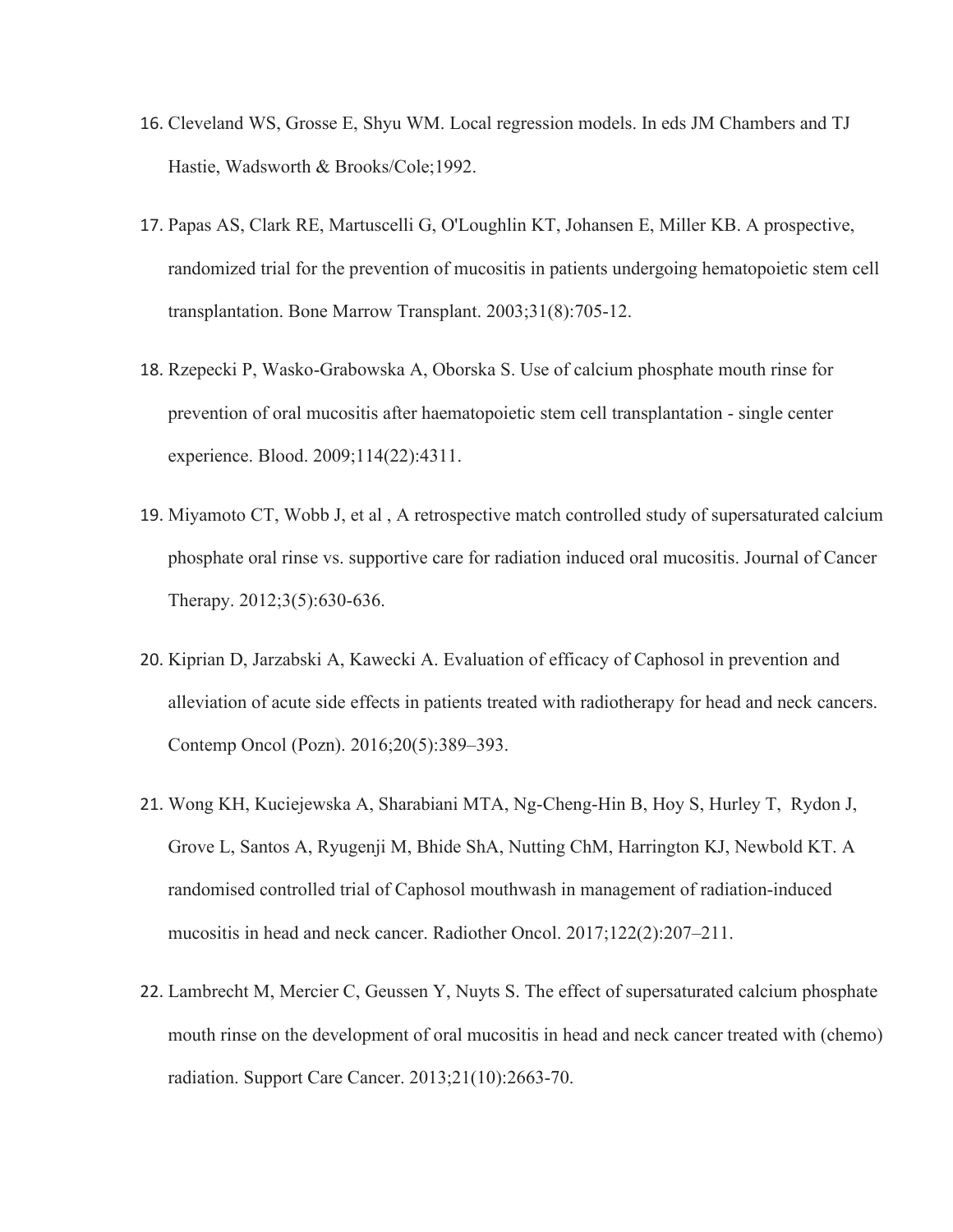- 16. Cleveland WS, Grosse E, Shyu WM. Local regression models. In eds JM Chambers and TJ Hastie, Wadsworth & Brooks/Cole;1992.
- 17. Papas [AS,](https://www.ncbi.nlm.nih.gov/pubmed/?term=Papas%20AS%5BAuthor%5D&cauthor=true&cauthor_uid=12692611) [Clark RE,](https://www.ncbi.nlm.nih.gov/pubmed/?term=Clark%20RE%5BAuthor%5D&cauthor=true&cauthor_uid=12692611) [Martuscelli G,](https://www.ncbi.nlm.nih.gov/pubmed/?term=Martuscelli%20G%5BAuthor%5D&cauthor=true&cauthor_uid=12692611) [O'Loughlin KT,](https://www.ncbi.nlm.nih.gov/pubmed/?term=O) [Johansen E,](https://www.ncbi.nlm.nih.gov/pubmed/?term=Johansen%20E%5BAuthor%5D&cauthor=true&cauthor_uid=12692611) [Miller KB.](https://www.ncbi.nlm.nih.gov/pubmed/?term=Miller%20KB%5BAuthor%5D&cauthor=true&cauthor_uid=12692611) A prospective, randomized trial for the prevention of mucositis in patients undergoing hematopoietic stem cell transplantation. [Bone Marrow Transplant.](https://www.ncbi.nlm.nih.gov/pubmed/12692611) 2003;31(8):705-12.
- 18. Rzepecki P, Wasko-Grabowska A, Oborska S. Use of calcium phosphate mouth rinse for prevention of oral mucositis after haematopoietic stem cell transplantation - single center experience. Blood. 2009;114(22):4311.
- 19. Miyamoto CT, Wobb J, et al , A retrospective match controlled study of supersaturated calcium phosphate oral rinse vs. supportive care for radiation induced oral mucositis. Journal of Cancer Therapy. 2012;3(5):630-636.
- 20. Kiprian D, Jarzabski A, Kawecki A. Evaluation of efficacy of Caphosol in prevention and alleviation of acute side effects in patients treated with radiotherapy for head and neck cancers. [Contemp Oncol \(Pozn\).](https://www.ncbi.nlm.nih.gov/pmc/articles/PMC5371706/) 2016;20(5):389–393.
- 21. Wong KH, Kuciejewska A, Sharabiani MTA, Ng-Cheng-Hin B, Hoy S, Hurley T, Rydon J, Grove L, Santos A, Ryugenji M, Bhide ShA, Nutting ChM, Harrington KJ, Newbold KT. A randomised controlled trial of Caphosol mouthwash in management of radiation-induced mucositis in head and neck cancer. Radiother Oncol. 2017;122(2):207–211.
- 22. Lambrecht M, Mercier C, Geussen Y, Nuyts S. The effect of supersaturated calcium phosphate mouth rinse on the development of oral mucositis in head and neck cancer treated with (chemo) radiation. Support Care Cancer. 2013;21(10):2663-70.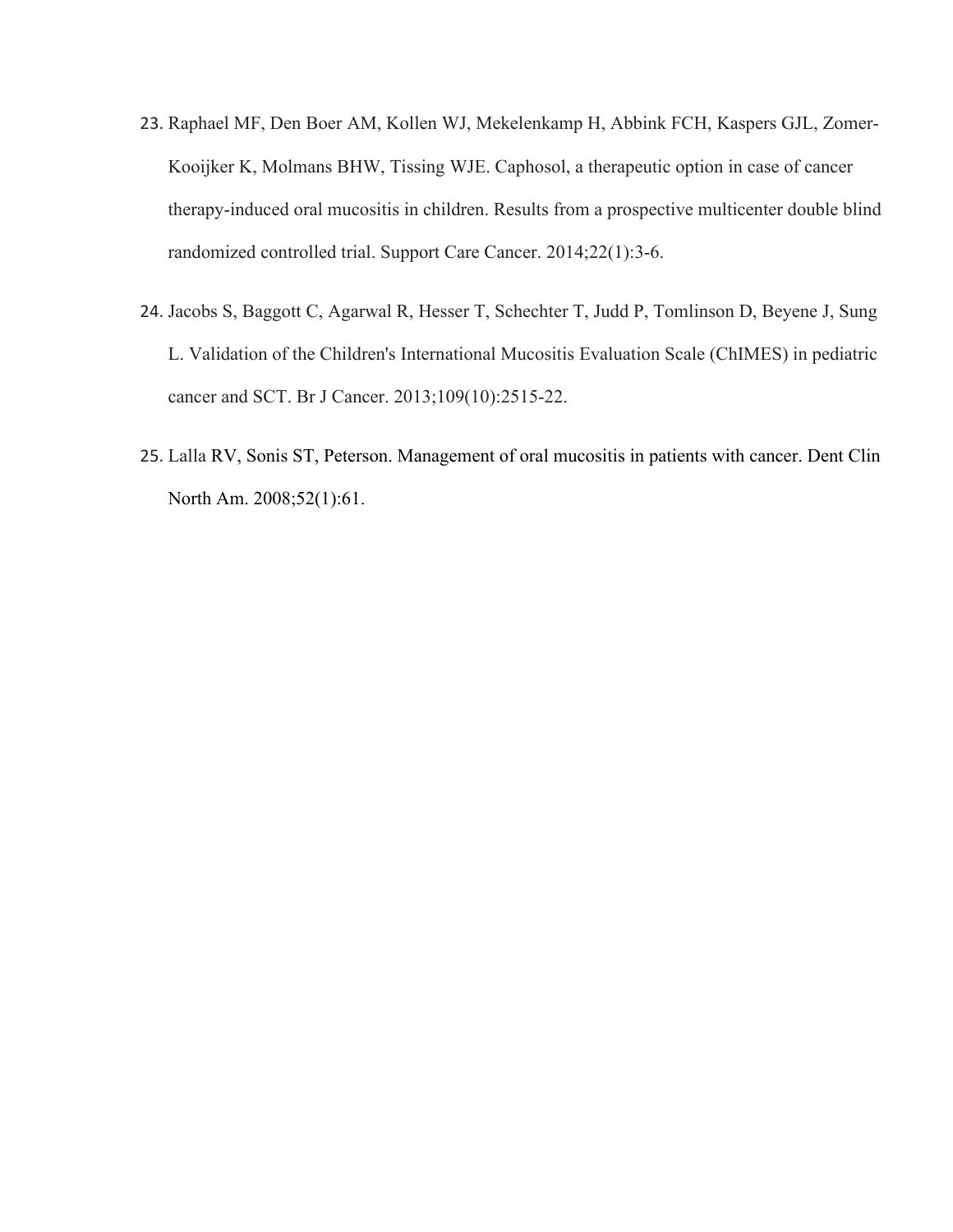- 23. Raphael MF, Den Boer AM, Kollen WJ, Mekelenkamp H, Abbink FCH, Kaspers GJL, Zomer-Kooijker K, Molmans BHW, Tissing WJE. Caphosol, a therapeutic option in case of cancer therapy-induced oral mucositis in children. Results from a prospective multicenter double blind randomized controlled trial. Support Care Cancer. 2014;22(1):3-6.
- 24. Jacobs S, [Baggott C,](https://www.ncbi.nlm.nih.gov/pubmed/?term=Baggott%20C%5BAuthor%5D&cauthor=true&cauthor_uid=24129238) [Agarwal R,](https://www.ncbi.nlm.nih.gov/pubmed/?term=Agarwal%20R%5BAuthor%5D&cauthor=true&cauthor_uid=24129238) [Hesser T,](https://www.ncbi.nlm.nih.gov/pubmed/?term=Hesser%20T%5BAuthor%5D&cauthor=true&cauthor_uid=24129238) [Schechter T,](https://www.ncbi.nlm.nih.gov/pubmed/?term=Schechter%20T%5BAuthor%5D&cauthor=true&cauthor_uid=24129238) [Judd P,](https://www.ncbi.nlm.nih.gov/pubmed/?term=Judd%20P%5BAuthor%5D&cauthor=true&cauthor_uid=24129238) [Tomlinson D,](https://www.ncbi.nlm.nih.gov/pubmed/?term=Tomlinson%20D%5BAuthor%5D&cauthor=true&cauthor_uid=24129238) [Beyene J,](https://www.ncbi.nlm.nih.gov/pubmed/?term=Beyene%20J%5BAuthor%5D&cauthor=true&cauthor_uid=24129238) [Sung](https://www.ncbi.nlm.nih.gov/pubmed/?term=Sung%20L%5BAuthor%5D&cauthor=true&cauthor_uid=24129238)  [L.](https://www.ncbi.nlm.nih.gov/pubmed/?term=Sung%20L%5BAuthor%5D&cauthor=true&cauthor_uid=24129238) Validation of the Children's International Mucositis Evaluation Scale (ChIMES) in pediatric cancer and SCT. [Br J Cancer.](https://www.ncbi.nlm.nih.gov/pubmed/24129238) 2013;109(10):2515-22.
- 25. Lalla RV, [Sonis](https://www.ncbi.nlm.nih.gov/pubmed/?term=Sonis%20ST%5BAuthor%5D&cauthor=true&cauthor_uid=18154865) ST, [Peterson.](https://www.ncbi.nlm.nih.gov/pubmed/?term=Peterson%20DE%5BAuthor%5D&cauthor=true&cauthor_uid=18154865) Management of oral mucositis in patients with cancer. [Dent Clin](https://www.ncbi.nlm.nih.gov/entrez/eutils/elink.fcgi?dbfrom=pubmed&retmode=ref&cmd=prlinks&id=18154865)  [North Am. 2008;52\(1\):61.](https://www.ncbi.nlm.nih.gov/entrez/eutils/elink.fcgi?dbfrom=pubmed&retmode=ref&cmd=prlinks&id=18154865)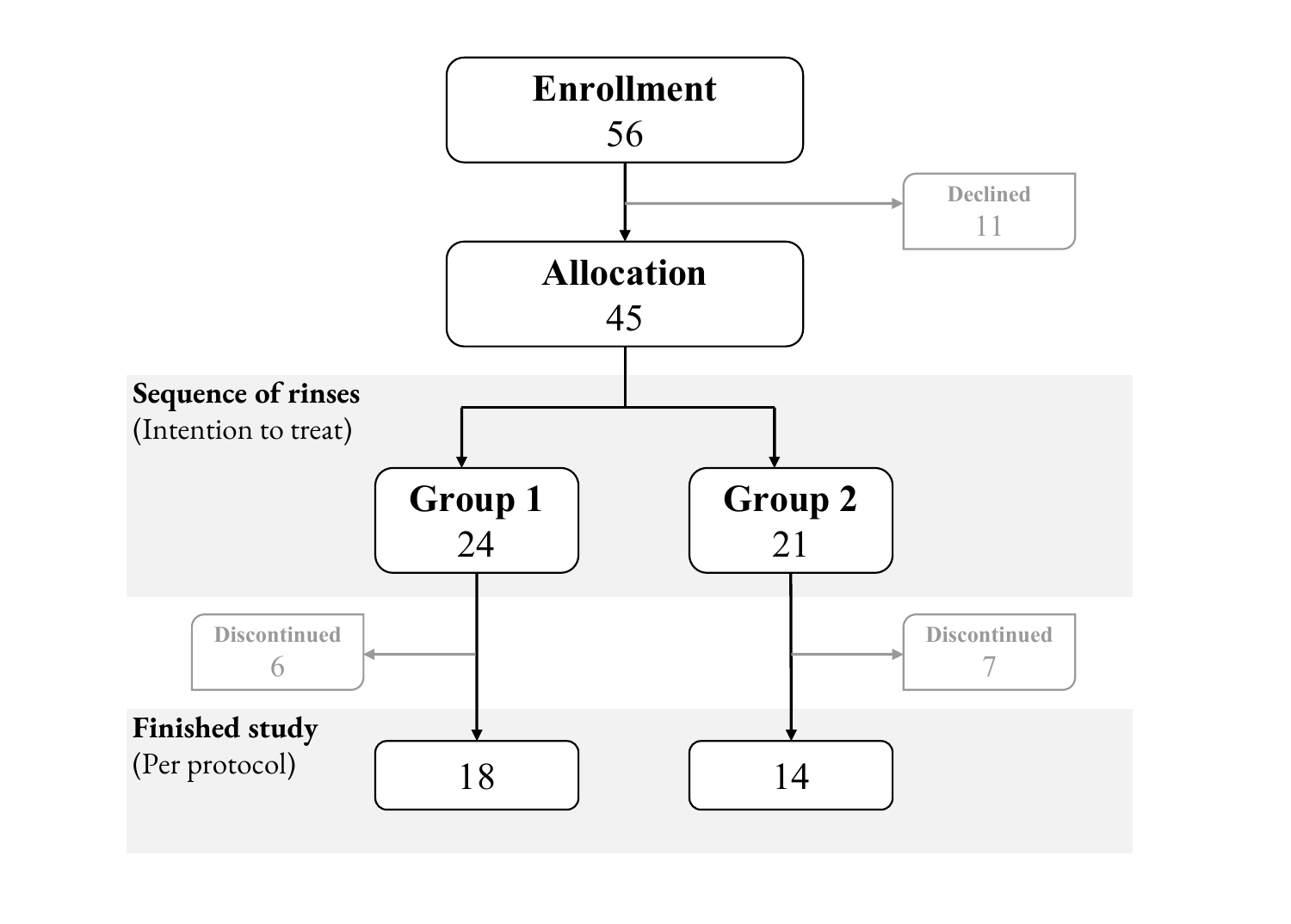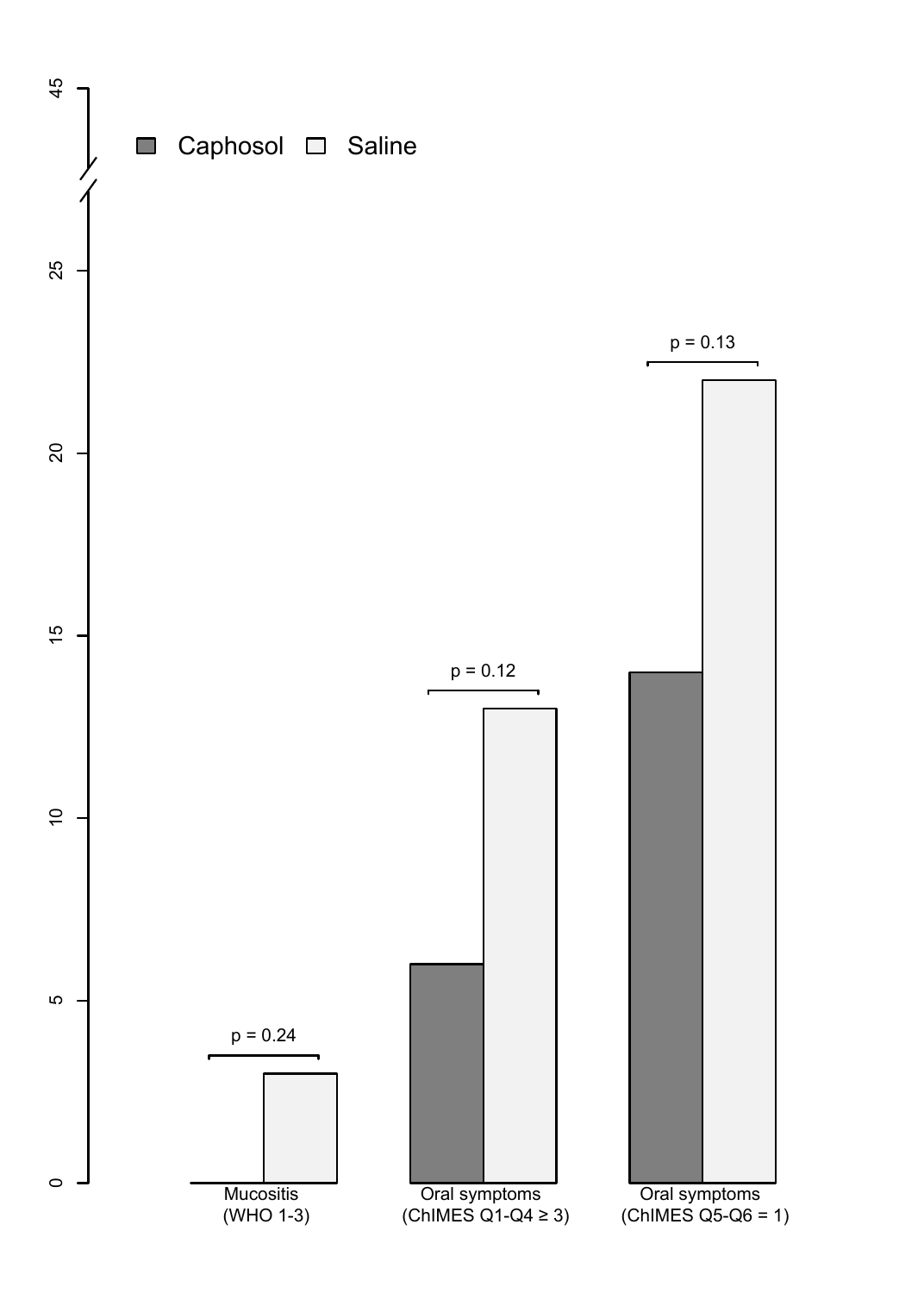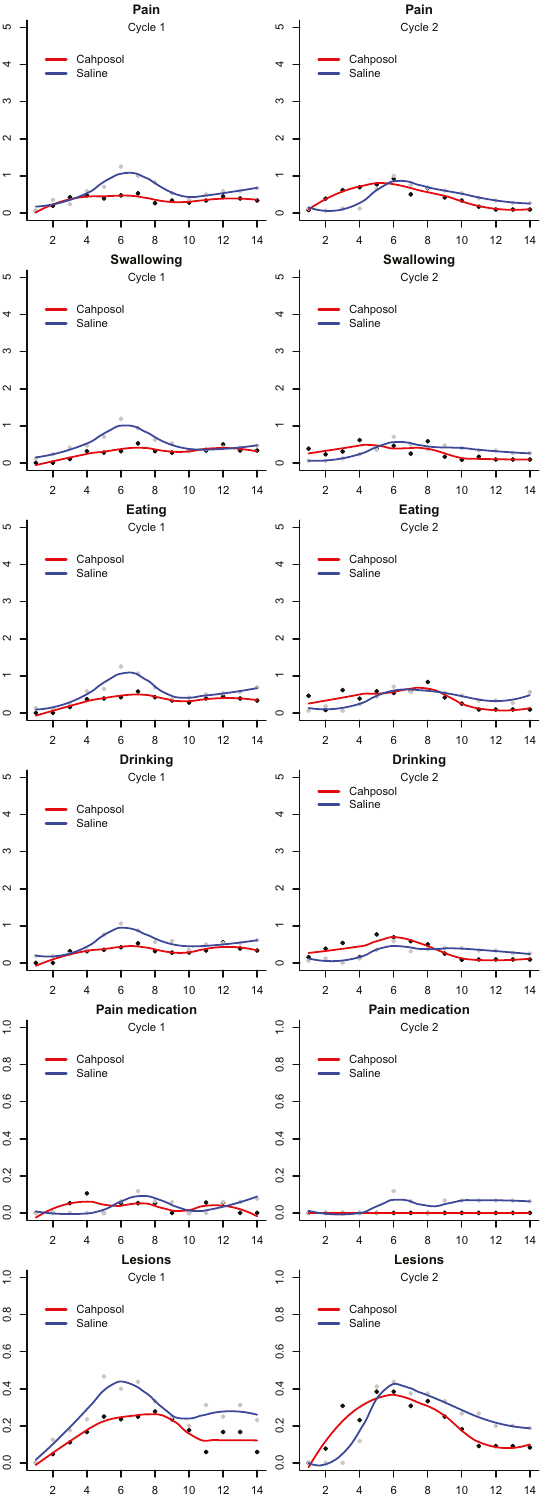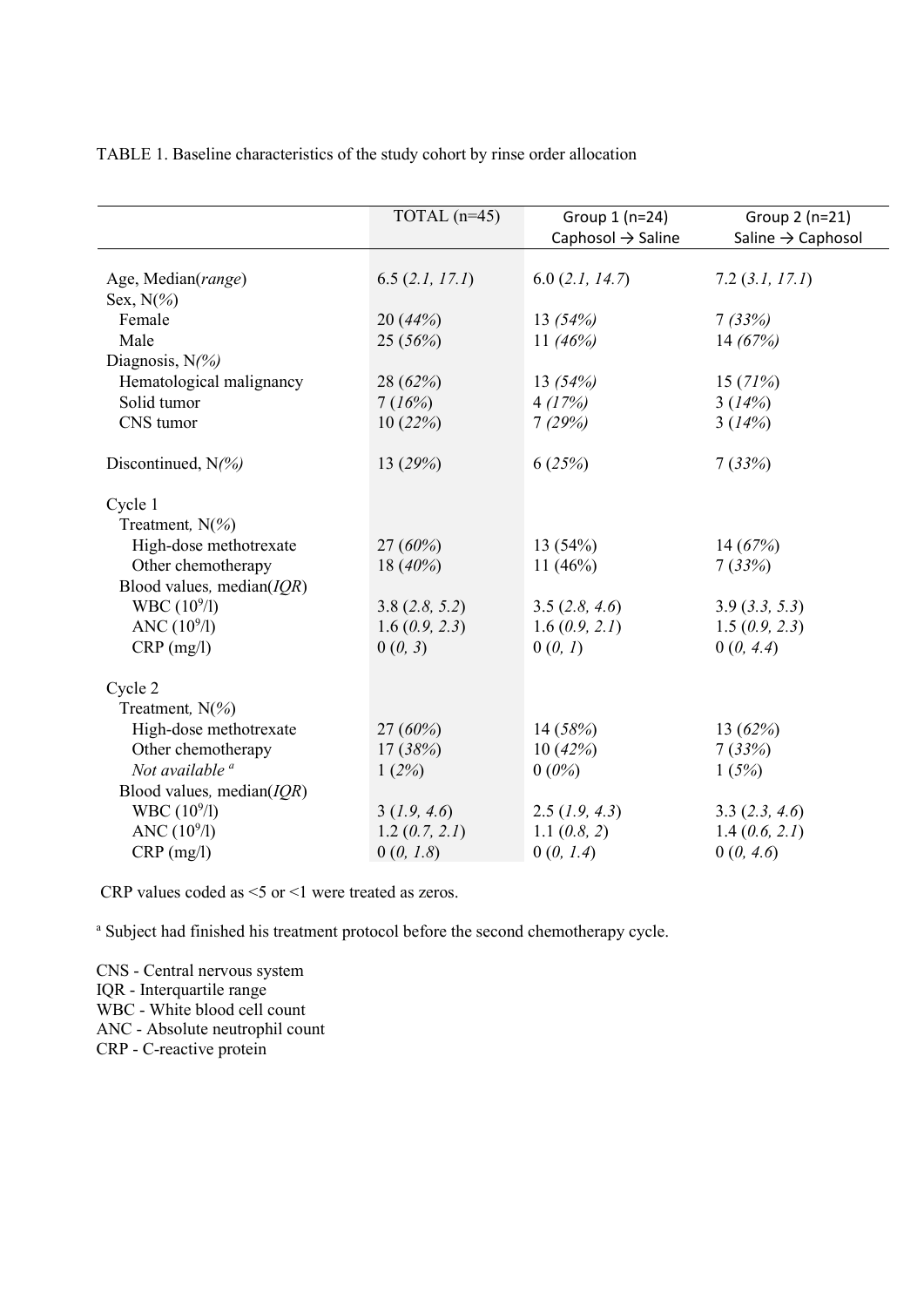TABLE 1. Baseline characteristics of the study cohort by rinse order allocation

|                                | TOTAL $(n=45)$ | Group 1 (n=24)                | Group 2 (n=21)                |
|--------------------------------|----------------|-------------------------------|-------------------------------|
|                                |                | Caphosol $\rightarrow$ Saline | Saline $\rightarrow$ Caphosol |
|                                |                |                               |                               |
| Age, Median(range)             | 6.5(2.1, 17.1) | 6.0(2.1, 14.7)                | $7.2$ $(3.1, 17.1)$           |
| Sex, $N(\%)$                   |                |                               |                               |
| Female                         | 20(44%)        | 13 $(54%)$                    | 7(33%)                        |
| Male                           | 25(56%)        | 11 $(46%)$                    | 14 $(67%)$                    |
| Diagnosis, $N\frac{\%}{\%}$    |                |                               |                               |
| Hematological malignancy       | 28 (62%)       | 13 $(54%)$                    | 15 $(71%)$                    |
| Solid tumor                    | 7(16%)         | 4(17%)                        | 3(14%)                        |
| CNS tumor                      | 10(22%)        | 7(29%)                        | 3(14%)                        |
| Discontinued, $N\frac{\%}{\%}$ | 13 (29%)       | 6(25%)                        | 7(33%)                        |
| Cycle 1                        |                |                               |                               |
| Treatment, $N(\%)$             |                |                               |                               |
| High-dose methotrexate         | $27(60\%)$     | 13(54%)                       | 14 (67%)                      |
| Other chemotherapy             | 18 $(40\%)$    | 11 $(46%)$                    | 7(33%)                        |
| Blood values, median(IQR)      |                |                               |                               |
| WBC (10 <sup>9</sup> /l)       | 3.8(2.8, 5.2)  | 3.5(2.8, 4.6)                 | 3.9(3.3, 5.3)                 |
| ANC $(10^9/1)$                 | 1.6(0.9, 2.3)  | 1.6(0.9, 2.1)                 | 1.5(0.9, 2.3)                 |
| $CRP$ (mg/l)                   | 0(0, 3)        | 0(0, 1)                       | 0(0, 4.4)                     |
| Cycle 2                        |                |                               |                               |
| Treatment, $N(\%)$             |                |                               |                               |
| High-dose methotrexate         | $27(60\%)$     | 14 (58%)                      | 13 (62%)                      |
| Other chemotherapy             | 17(38%)        | 10(42%)                       | 7(33%)                        |
| Not available <sup>a</sup>     | 1(2%)          | $0(0\%)$                      | 1(5%)                         |
| Blood values, median $(IQR)$   |                |                               |                               |
| WBC (10 <sup>9</sup> /l)       | 3(1.9, 4.6)    | $2.5$ (1.9, 4.3)              | 3.3(2.3, 4.6)                 |
| ANC $(10^9/1)$                 | 1.2 (0.7, 2.1) | 1.1 $(0.8, 2)$                | 1.4(0.6, 2.1)                 |
| $CRP$ (mg/l)                   | 0(0, 1.8)      | 0(0, 1.4)                     | 0(0, 4.6)                     |
|                                |                |                               |                               |

CRP values coded as <5 or <1 were treated as zeros.

<sup>a</sup> Subject had finished his treatment protocol before the second chemotherapy cycle.

CNS - Central nervous system IQR - Interquartile range WBC - White blood cell count ANC - Absolute neutrophil count CRP - C-reactive protein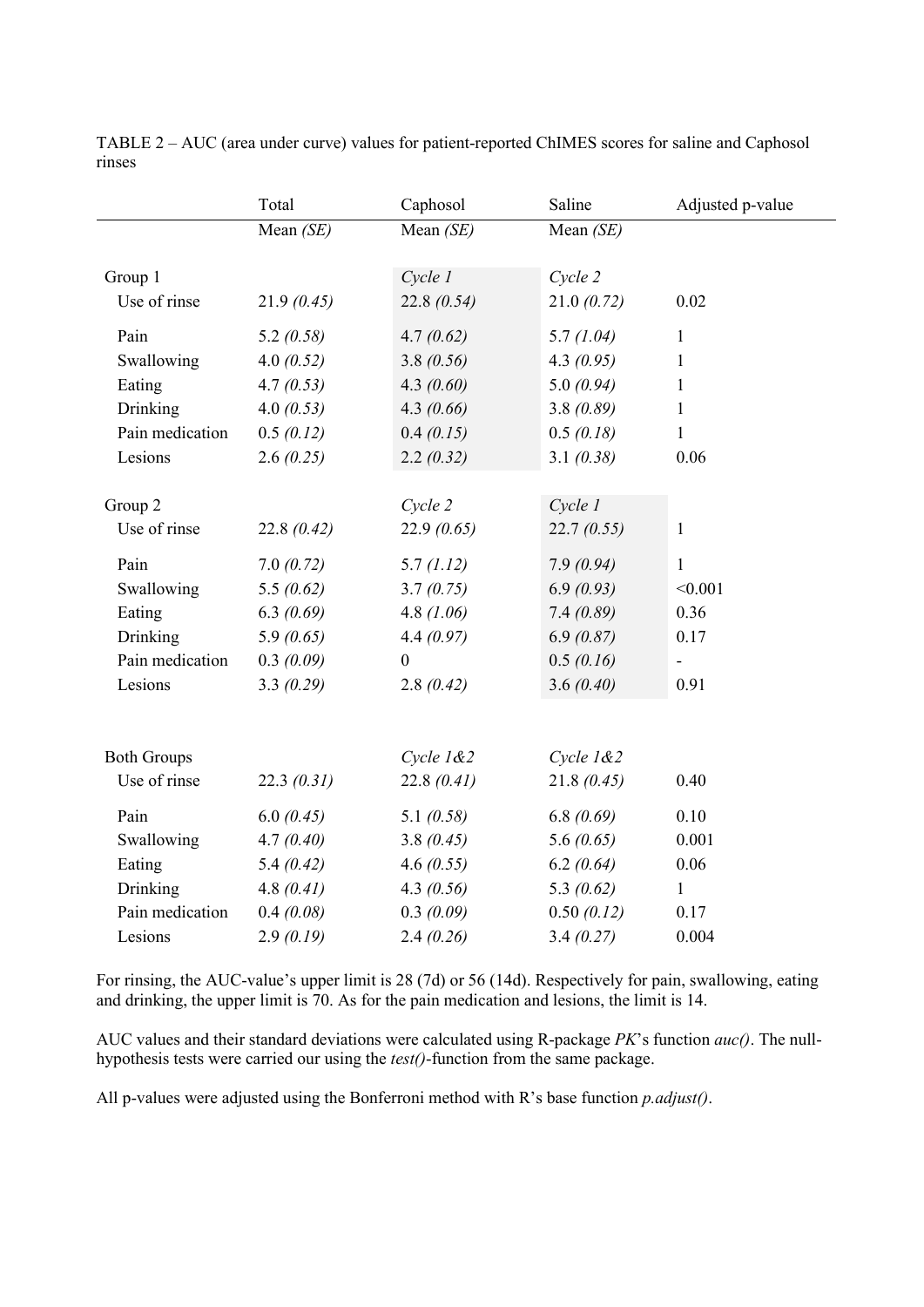|                    | Total        | Caphosol         | Saline       | Adjusted p-value |
|--------------------|--------------|------------------|--------------|------------------|
|                    | Mean $(SE)$  | Mean $(SE)$      | Mean $(SE)$  |                  |
|                    |              |                  |              |                  |
| Group 1            |              | Cycle 1          | Cycle 2      |                  |
| Use of rinse       | 21.9(0.45)   | 22.8(0.54)       | 21.0(0.72)   | 0.02             |
| Pain               | 5.2 $(0.58)$ | 4.7 $(0.62)$     | 5.7 $(1.04)$ | $\mathbf{1}$     |
| Swallowing         | 4.0 $(0.52)$ | 3.8 $(0.56)$     | 4.3 $(0.95)$ | $\mathbf{1}$     |
| Eating             | 4.7(0.53)    | 4.3 $(0.60)$     | 5.0 $(0.94)$ | $\mathbf{1}$     |
| Drinking           | 4.0(0.53)    | 4.3 $(0.66)$     | 3.8 $(0.89)$ | $\mathbf{1}$     |
| Pain medication    | 0.5(0.12)    | 0.4(0.15)        | 0.5(0.18)    | $\mathbf{1}$     |
| Lesions            | 2.6(0.25)    | 2.2(0.32)        | 3.1 $(0.38)$ | 0.06             |
|                    |              |                  |              |                  |
| Group 2            |              | Cycle 2          | Cycle 1      |                  |
| Use of rinse       | 22.8(0.42)   | 22.9(0.65)       | 22.7(0.55)   | $\mathbf{1}$     |
| Pain               | 7.0(0.72)    | 5.7 $(l.12)$     | 7.9(0.94)    | $\mathbf{1}$     |
| Swallowing         | 5.5 $(0.62)$ | 3.7(0.75)        | 6.9(0.93)    | < 0.001          |
| Eating             | 6.3 $(0.69)$ | 4.8 $(1.06)$     | 7.4(0.89)    | 0.36             |
| Drinking           | 5.9 $(0.65)$ | 4.4 $(0.97)$     | 6.9(0.87)    | 0.17             |
| Pain medication    | 0.3(0.09)    | $\boldsymbol{0}$ | 0.5(0.16)    |                  |
| Lesions            | 3.3(0.29)    | 2.8(0.42)        | 3.6 $(0.40)$ | 0.91             |
|                    |              |                  |              |                  |
|                    |              |                  |              |                  |
| <b>Both Groups</b> |              | Cycle $1&4$      | Cycle $1&4$  |                  |
| Use of rinse       | 22.3(0.31)   | 22.8(0.41)       | 21.8(0.45)   | 0.40             |
| Pain               | 6.0 $(0.45)$ | 5.1 $(0.58)$     | 6.8 $(0.69)$ | 0.10             |
| Swallowing         | 4.7 $(0.40)$ | 3.8 $(0.45)$     | 5.6 $(0.65)$ | 0.001            |
| Eating             | 5.4 $(0.42)$ | 4.6 $(0.55)$     | 6.2 $(0.64)$ | 0.06             |
| Drinking           | 4.8 $(0.41)$ | 4.3 $(0.56)$     | 5.3 $(0.62)$ | $\mathbf{1}$     |
| Pain medication    | 0.4(0.08)    | 0.3(0.09)        | 0.50(0.12)   | 0.17             |
| Lesions            | 2.9(0.19)    | 2.4(0.26)        | 3.4 $(0.27)$ | 0.004            |

TABLE 2 – AUC (area under curve) values for patient-reported ChIMES scores for saline and Caphosol rinses

For rinsing, the AUC-value's upper limit is 28 (7d) or 56 (14d). Respectively for pain, swallowing, eating and drinking, the upper limit is 70. As for the pain medication and lesions, the limit is 14.

AUC values and their standard deviations were calculated using R-package *PK*'s function *auc()*. The nullhypothesis tests were carried our using the *test()*-function from the same package.

All p-values were adjusted using the Bonferroni method with R's base function *p.adjust()*.